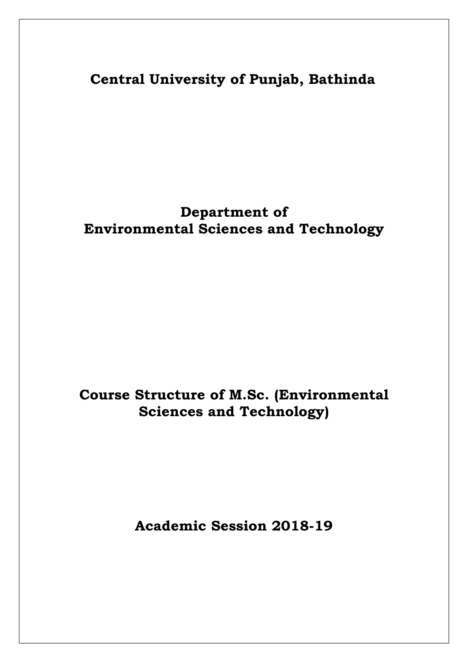**Central University of Punjab, Bathinda**

# **Department of Environmental Sciences and Technology**

# **Course Structure of M.Sc. (Environmental Sciences and Technology)**

**Academic Session 2018-19**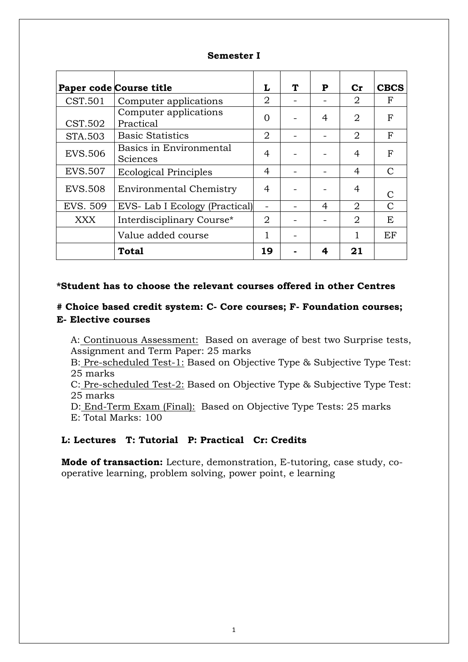#### **Semester I**

|                 | Paper code Course title             | L              | T | P | $\mathbf{Cr}$  | <b>CBCS</b> |
|-----------------|-------------------------------------|----------------|---|---|----------------|-------------|
| CST.501         | Computer applications               | 2              |   |   | 2              | F           |
| CST.502         | Computer applications<br>Practical  | $\Omega$       |   | 4 | $\overline{2}$ | $_{\rm F}$  |
| <b>STA.503</b>  | <b>Basic Statistics</b>             | $\overline{2}$ |   |   | $\overline{2}$ | F           |
| <b>EVS.506</b>  | Basics in Environmental<br>Sciences | 4              |   |   | 4              | F           |
| <b>EVS.507</b>  | <b>Ecological Principles</b>        | 4              |   |   | 4              |             |
| <b>EVS.508</b>  | <b>Environmental Chemistry</b>      | 4              |   |   | 4              |             |
| <b>EVS. 509</b> | EVS-Lab I Ecology (Practical)       |                |   | 4 | 2              |             |
| XXX             | Interdisciplinary Course*           | 2              |   |   | $\overline{2}$ | F.          |
|                 | Value added course                  | 1              |   |   |                | EF          |
|                 | <b>Total</b>                        | 19             |   | 4 | 21             |             |

#### **\*Student has to choose the relevant courses offered in other Centres**

#### **# Choice based credit system: C- Core courses; F- Foundation courses; E- Elective courses**

A: Continuous Assessment: Based on average of best two Surprise tests, Assignment and Term Paper: 25 marks

B: Pre-scheduled Test-1: Based on Objective Type & Subjective Type Test: 25 marks

C: Pre-scheduled Test-2: Based on Objective Type & Subjective Type Test: 25 marks

D: End-Term Exam (Final): Based on Objective Type Tests: 25 marks E: Total Marks: 100

### **L: Lectures T: Tutorial P: Practical Cr: Credits**

**Mode of transaction:** Lecture, demonstration, E-tutoring, case study, cooperative learning, problem solving, power point, e learning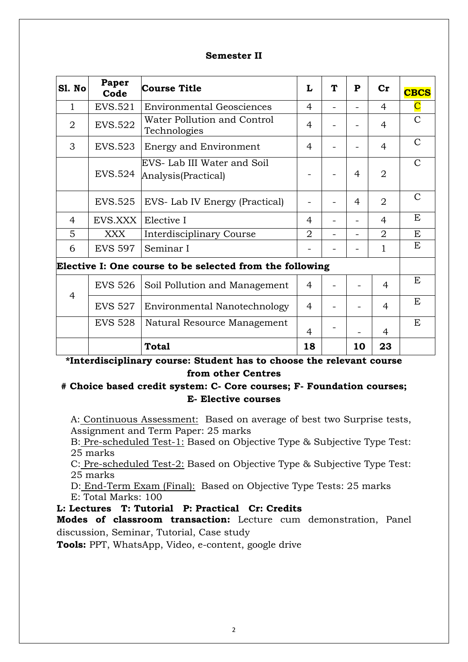#### **Semester II**

| <b>S1. No</b>  | Paper<br>Code  | <b>Course Title</b>                                      |                | T | P  | $cr$           | <b>CBCS</b>             |
|----------------|----------------|----------------------------------------------------------|----------------|---|----|----------------|-------------------------|
| 1              | <b>EVS.521</b> | <b>Environmental Geosciences</b>                         | $\overline{4}$ |   |    | 4              | $\overline{\mathbf{C}}$ |
| $\overline{2}$ | <b>EVS.522</b> | Water Pollution and Control<br>Technologies              | 4              |   |    | 4              | $\mathcal{C}$           |
| 3              | <b>EVS.523</b> | <b>Energy and Environment</b>                            | 4              |   |    | 4              | $\mathcal{C}$           |
|                | <b>EVS.524</b> | EVS- Lab III Water and Soil<br>Analysis (Practical)      |                |   | 4  | $\overline{2}$ | $\mathcal{C}$           |
|                | <b>EVS.525</b> | EVS- Lab IV Energy (Practical)                           |                |   | 4  | $\overline{2}$ | $\mathcal{C}$           |
| $\overline{4}$ | EVS.XXX        | Elective I                                               | $\overline{4}$ |   |    | $\overline{4}$ | E                       |
| 5              | XXX            | <b>Interdisciplinary Course</b>                          | $\overline{2}$ |   |    | $\overline{2}$ | E                       |
| 6              | <b>EVS 597</b> | Seminar I                                                |                |   |    | 1              | E                       |
|                |                | Elective I: One course to be selected from the following |                |   |    |                |                         |
|                | <b>EVS 526</b> | Soil Pollution and Management                            | 4              |   |    | 4              | E                       |
| $\overline{4}$ | <b>EVS 527</b> | <b>Environmental Nanotechnology</b>                      | 4              |   |    | 4              | E                       |
|                | <b>EVS 528</b> | Natural Resource Management                              | 4              |   |    | 4              | E                       |
|                |                | Total                                                    | 18             |   | 10 | 23             |                         |

**\*Interdisciplinary course: Student has to choose the relevant course from other Centres**

#### **# Choice based credit system: C- Core courses; F- Foundation courses; E- Elective courses**

A: Continuous Assessment: Based on average of best two Surprise tests, Assignment and Term Paper: 25 marks

B: Pre-scheduled Test-1: Based on Objective Type & Subjective Type Test: 25 marks

C: Pre-scheduled Test-2: Based on Objective Type & Subjective Type Test: 25 marks

D: End-Term Exam (Final): Based on Objective Type Tests: 25 marks E: Total Marks: 100

### **L: Lectures T: Tutorial P: Practical Cr: Credits**

**Modes of classroom transaction:** Lecture cum demonstration, Panel discussion, Seminar, Tutorial, Case study

**Tools:** PPT, WhatsApp, Video, e-content, google drive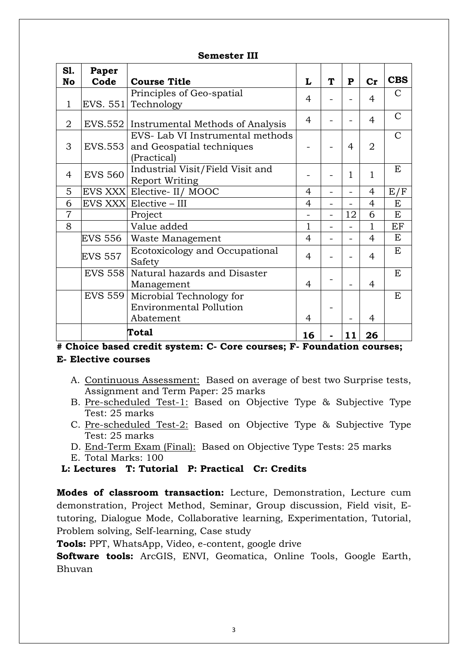| S1.            | Paper           |                                            |                | T | $\mathbf{P}$ |                | <b>CBS</b>     |
|----------------|-----------------|--------------------------------------------|----------------|---|--------------|----------------|----------------|
| No             | Code            | <b>Course Title</b>                        | L              |   |              | Cr             |                |
|                |                 | Principles of Geo-spatial                  | 4              |   |              | 4              | $\mathcal{C}$  |
| 1              | <b>EVS. 551</b> | Technology                                 |                |   |              |                |                |
| $\overline{2}$ |                 | EVS.552   Instrumental Methods of Analysis | 4              |   |              | $\overline{4}$ | $\mathcal{C}$  |
|                |                 | EVS- Lab VI Instrumental methods           |                |   |              |                | $\overline{C}$ |
| 3              | EVS.553         | and Geospatial techniques                  |                |   | 4            | $\overline{2}$ |                |
|                |                 | (Practical)                                |                |   |              |                |                |
|                |                 | Industrial Visit/Field Visit and           |                |   |              |                | E              |
| 4              | <b>EVS 560</b>  | <b>Report Writing</b>                      |                |   | 1            | $\mathbf{1}$   |                |
| 5              |                 | EVS XXX Elective- II/ MOOC                 | $\overline{4}$ |   |              | $\overline{4}$ | E/F            |
| 6              |                 | EVS XXX Elective - III                     | $\overline{4}$ |   |              | 4              | E              |
| $\overline{7}$ |                 | Project                                    |                |   | 12           | 6              | ${\bf E}$      |
| 8              |                 | Value added                                | $\overline{1}$ |   |              | 1              | EF             |
|                | EVS 556         | Waste Management                           | $\overline{4}$ |   |              | 4              | ${\bf E}$      |
|                |                 | Ecotoxicology and Occupational             |                |   |              |                | E              |
|                | <b>EVS 557</b>  | Safety                                     | 4              |   |              | $\overline{4}$ |                |
|                | <b>EVS 558</b>  | Natural hazards and Disaster               |                |   |              |                | E              |
|                |                 | Management                                 | 4              |   |              | 4              |                |
|                | <b>EVS 559</b>  | Microbial Technology for                   |                |   |              |                | E              |
|                |                 | <b>Environmental Pollution</b>             |                |   |              |                |                |
|                |                 | Abatement                                  | 4              |   |              | 4              |                |
|                |                 | Total                                      | 16             |   | 11           | 26             |                |

#### **Semester III**

### **# Choice based credit system: C- Core courses; F- Foundation courses; E- Elective courses**

- A. Continuous Assessment: Based on average of best two Surprise tests, Assignment and Term Paper: 25 marks
- B. Pre-scheduled Test-1: Based on Objective Type & Subjective Type Test: 25 marks
- C. Pre-scheduled Test-2: Based on Objective Type & Subjective Type Test: 25 marks
- D. End-Term Exam (Final): Based on Objective Type Tests: 25 marks
- E. Total Marks: 100

### **L: Lectures T: Tutorial P: Practical Cr: Credits**

**Modes of classroom transaction:** Lecture, Demonstration, Lecture cum demonstration, Project Method, Seminar, Group discussion, Field visit, Etutoring, Dialogue Mode, Collaborative learning, Experimentation, Tutorial, Problem solving, Self-learning, Case study

**Tools:** PPT, WhatsApp, Video, e-content, google drive

**Software tools:** ArcGIS, ENVI, Geomatica, Online Tools, Google Earth, Bhuvan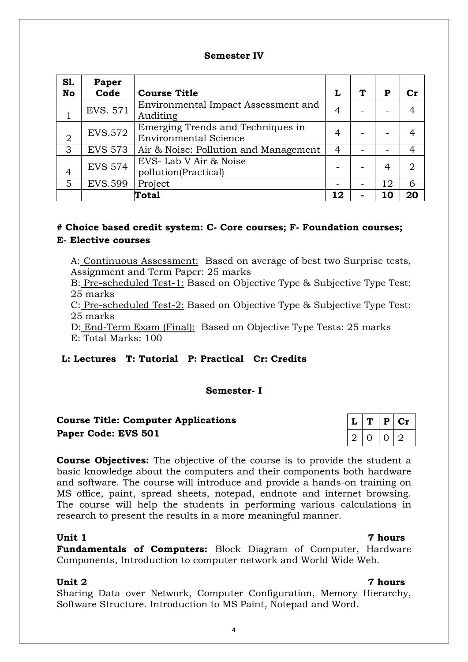#### **Semester IV**

| S1.            | Paper           |                                       |    |   |    |    |
|----------------|-----------------|---------------------------------------|----|---|----|----|
| No             | Code            | <b>Course Title</b>                   |    | ጥ | Р  | Сr |
|                | <b>EVS. 571</b> | Environmental Impact Assessment and   | 4  |   |    |    |
|                |                 | Auditing                              |    |   |    |    |
|                |                 | Emerging Trends and Techniques in     |    |   |    |    |
| $\overline{2}$ | <b>EVS.572</b>  | <b>Environmental Science</b>          | 4  |   |    |    |
| 3              | <b>EVS 573</b>  | Air & Noise: Pollution and Management | 4  |   |    | 4  |
|                | <b>EVS 574</b>  | EVS- Lab V Air & Noise                |    |   |    | 2  |
| 4              |                 | pollution(Practical)                  |    |   | 4  |    |
| 5              | <b>EVS.599</b>  | Project                               |    |   | 12 | 6  |
|                |                 | <b>Total</b>                          | 12 |   | 10 | 20 |

### **# Choice based credit system: C- Core courses; F- Foundation courses; E- Elective courses**

A: Continuous Assessment: Based on average of best two Surprise tests, Assignment and Term Paper: 25 marks

B: Pre-scheduled Test-1: Based on Objective Type & Subjective Type Test: 25 marks

C: Pre-scheduled Test-2: Based on Objective Type & Subjective Type Test: 25 marks

D: End-Term Exam (Final): Based on Objective Type Tests: 25 marks E: Total Marks: 100

### **L: Lectures T: Tutorial P: Practical Cr: Credits**

#### **Semester- I**

### **Course Title: Computer Applications Paper Code: EVS 501**

**Course Objectives:** The objective of the course is to provide the student a basic knowledge about the computers and their components both hardware and software. The course will introduce and provide a hands-on training on MS office, paint, spread sheets, notepad, endnote and internet browsing. The course will help the students in performing various calculations in research to present the results in a more meaningful manner.  $2 | 0 | 0 | 2$ 

#### **Unit 1** 7 hours **Fundamentals of Computers:** Block Diagram of Computer, Hardware Components, Introduction to computer network and World Wide Web.

#### **Unit 2 7 hours**

Sharing Data over Network, Computer Configuration, Memory Hierarchy, Software Structure. Introduction to MS Paint, Notepad and Word.

 $L | T | P | Cr$ 

#### 4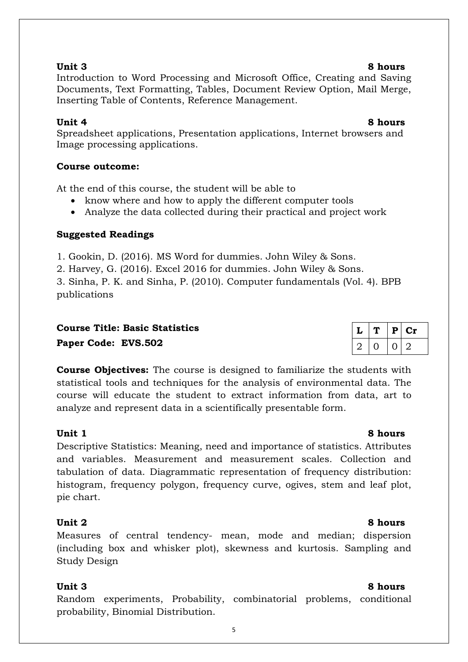Introduction to Word Processing and Microsoft Office, Creating and Saving Documents, Text Formatting, Tables, Document Review Option, Mail Merge, Inserting Table of Contents, Reference Management.

#### **Unit 4 8 hours**

Spreadsheet applications, Presentation applications, Internet browsers and Image processing applications.

### **Course outcome:**

At the end of this course, the student will be able to

- know where and how to apply the different computer tools
- Analyze the data collected during their practical and project work

### **Suggested Readings**

1. Gookin, D. (2016). MS Word for dummies. John Wiley & Sons.

2. Harvey, G. (2016). Excel 2016 for dummies. John Wiley & Sons.

3. Sinha, P. K. and Sinha, P. (2010). Computer fundamentals (Vol. 4). BPB publications

# **Course Title: Basic Statistics**

**Paper Code: EVS.502**

**Course Objectives:** The course is designed to familiarize the students with statistical tools and techniques for the analysis of environmental data. The course will educate the student to extract information from data, art to analyze and represent data in a scientifically presentable form.

### **Unit 1 8 hours**

Descriptive Statistics: Meaning, need and importance of statistics. Attributes and variables. Measurement and measurement scales. Collection and tabulation of data. Diagrammatic representation of frequency distribution: histogram, frequency polygon, frequency curve, ogives, stem and leaf plot, pie chart.

Measures of central tendency- mean, mode and median; dispersion (including box and whisker plot), skewness and kurtosis. Sampling and Study Design

### **Unit 3 8 hours**

Random experiments, Probability, combinatorial problems, conditional probability, Binomial Distribution.

## $L | T | P | Cr$  $2 0 0 2$

### **Unit 2 8 hours**

#### **Unit 3 8 hours**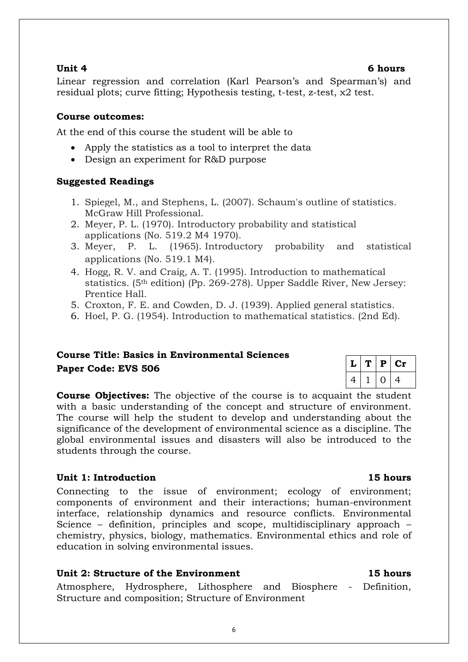#### **Unit 4 6 hours**

Linear regression and correlation (Karl Pearson's and Spearman's) and residual plots; curve fitting; Hypothesis testing, t-test, z-test, χ2 test.

#### **Course outcomes:**

At the end of this course the student will be able to

- Apply the statistics as a tool to interpret the data
- Design an experiment for R&D purpose

### **Suggested Readings**

- 1. Spiegel, M., and Stephens, L. (2007). Schaum's outline of statistics. McGraw Hill Professional.
- 2. Meyer, P. L. (1970). Introductory probability and statistical applications (No. 519.2 M4 1970).
- 3. Meyer, P. L. (1965). Introductory probability and statistical applications (No. 519.1 M4).
- 4. Hogg, R. V. and Craig, A. T. (1995). Introduction to mathematical statistics. (5th edition) (Pp. 269-278). Upper Saddle River, New Jersey: Prentice Hall.
- 5. Croxton, F. E. and Cowden, D. J. (1939). Applied general statistics.
- 6. Hoel, P. G. (1954). Introduction to mathematical statistics. (2nd Ed).

### **Course Title: Basics in Environmental Sciences Paper Code: EVS 506**

|                                                                                  | 4   1   0   4 |  |
|----------------------------------------------------------------------------------|---------------|--|
| <b>Course Objectives:</b> The objective of the course is to acquaint the student |               |  |
| with a basic understanding of the concept and structure of environment.          |               |  |
| The course will help the student to develop and understanding about the          |               |  |
| significance of the development of environmental science as a discipline. The    |               |  |
| global environmental issues and disasters will also be introduced to the         |               |  |
| students through the course.                                                     |               |  |

### **Unit 1: Introduction 15 hours**

Connecting to the issue of environment; ecology of environment; components of environment and their interactions; human-environment interface, relationship dynamics and resource conflicts. Environmental Science – definition, principles and scope, multidisciplinary approach – chemistry, physics, biology, mathematics. Environmental ethics and role of education in solving environmental issues.

### **Unit 2: Structure of the Environment 15 hours**

Atmosphere, Hydrosphere, Lithosphere and Biosphere - Definition, Structure and composition; Structure of Environment

 $T | P | Cr$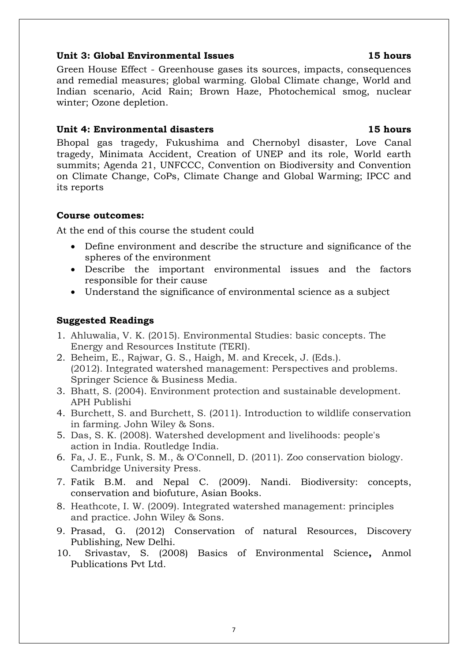#### **Unit 3: Global Environmental Issues 15 hours**

Green House Effect - Greenhouse gases its sources, impacts, consequences and remedial measures; global warming. Global Climate change, World and Indian scenario, Acid Rain; Brown Haze, Photochemical smog, nuclear winter; Ozone depletion.

### **Unit 4: Environmental disasters 15 hours**

Bhopal gas tragedy, Fukushima and Chernobyl disaster, Love Canal tragedy, Minimata Accident, Creation of UNEP and its role, World earth summits; Agenda 21, UNFCCC, Convention on Biodiversity and Convention on Climate Change, CoPs, Climate Change and Global Warming; IPCC and its reports

### **Course outcomes:**

At the end of this course the student could

- Define environment and describe the structure and significance of the spheres of the environment
- Describe the important environmental issues and the factors responsible for their cause
- Understand the significance of environmental science as a subject

### **Suggested Readings**

- 1. Ahluwalia, V. K. (2015). Environmental Studies: basic concepts. The Energy and Resources Institute (TERI).
- 2. Beheim, E., Rajwar, G. S., Haigh, M. and Krecek, J. (Eds.). (2012). Integrated watershed management: Perspectives and problems. Springer Science & Business Media.
- 3. Bhatt, S. (2004). Environment protection and sustainable development. APH Publishi
- 4. Burchett, S. and Burchett, S. (2011). Introduction to wildlife conservation in farming. John Wiley & Sons.
- 5. Das, S. K. (2008). Watershed development and livelihoods: people's action in India. Routledge India.
- 6. Fa, J. E., Funk, S. M., & O'Connell, D. (2011). Zoo conservation biology. Cambridge University Press.
- 7. Fatik B.M. and Nepal C. (2009). Nandi. Biodiversity: concepts, conservation and biofuture, Asian Books.
- 8. Heathcote, I. W. (2009). Integrated watershed management: principles and practice. John Wiley & Sons.
- 9. Prasad, G. (2012) Conservation of natural Resources, Discovery Publishing, New Delhi.
- 10. Srivastav, S. (2008) Basics of Environmental Science**,** Anmol Publications Pvt Ltd.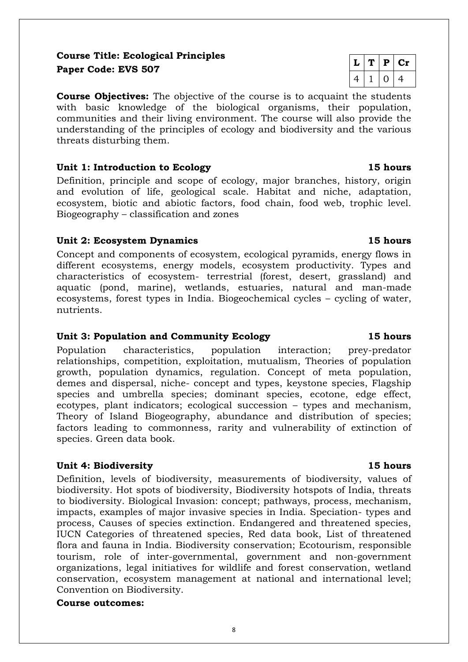8

### **Course Title: Ecological Principles Paper Code: EVS 507**

**Course Objectives:** The objective of the course is to acquaint the students with basic knowledge of the biological organisms, their population, communities and their living environment. The course will also provide the understanding of the principles of ecology and biodiversity and the various threats disturbing them.

#### **Unit 1: Introduction to Ecology 15 hours**

Definition, principle and scope of ecology, major branches, history, origin and evolution of life, geological scale. Habitat and niche, adaptation, ecosystem, biotic and abiotic factors, food chain, food web, trophic level. Biogeography – classification and zones

#### **Unit 2: Ecosystem Dynamics 15 hours**

Concept and components of ecosystem, ecological pyramids, energy flows in different ecosystems, energy models, ecosystem productivity. Types and characteristics of ecosystem- terrestrial (forest, desert, grassland) and aquatic (pond, marine), wetlands, estuaries, natural and man-made ecosystems, forest types in India. Biogeochemical cycles – cycling of water, nutrients.

#### **Unit 3: Population and Community Ecology 15 hours**

Population characteristics, population interaction; prey-predator relationships, competition, exploitation, mutualism, Theories of population growth, population dynamics, regulation. Concept of meta population, demes and dispersal, niche- concept and types, keystone species, Flagship species and umbrella species; dominant species, ecotone, edge effect, ecotypes, plant indicators; ecological succession – types and mechanism, Theory of Island Biogeography, abundance and distribution of species; factors leading to commonness, rarity and vulnerability of extinction of species. Green data book.

#### **Unit 4: Biodiversity 15 hours**

Definition, levels of biodiversity, measurements of biodiversity, values of biodiversity. Hot spots of biodiversity, Biodiversity hotspots of India, threats to biodiversity. Biological Invasion: concept; pathways, process, mechanism, impacts, examples of major invasive species in India. Speciation- types and process, Causes of species extinction. Endangered and threatened species, IUCN Categories of threatened species, Red data book, List of threatened flora and fauna in India. Biodiversity conservation; Ecotourism, responsible tourism, role of inter-governmental, government and non-government organizations, legal initiatives for wildlife and forest conservation, wetland conservation, ecosystem management at national and international level; Convention on Biodiversity.

#### **Course outcomes:**

# 4 1 0 4

 $L | T | P | Cr$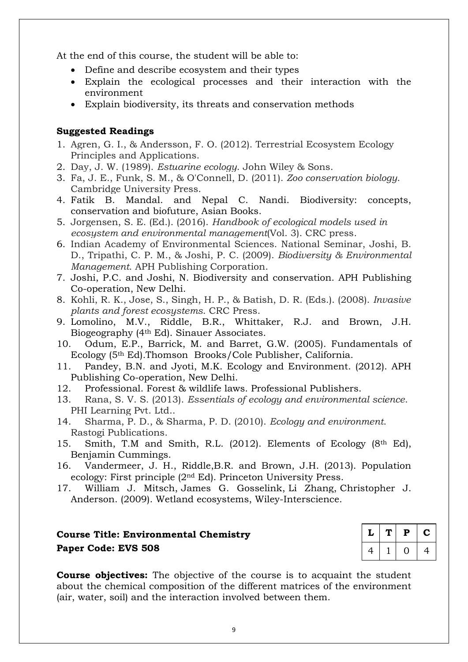At the end of this course, the student will be able to:

- Define and describe ecosystem and their types
- Explain the ecological processes and their interaction with the environment
- Explain biodiversity, its threats and conservation methods

#### **Suggested Readings**

- 1. Agren, G. I., & Andersson, F. O. (2012). Terrestrial Ecosystem Ecology Principles and Applications.
- 2. Day, J. W. (1989). *Estuarine ecology*. John Wiley & Sons.
- 3. Fa, J. E., Funk, S. M., & O'Connell, D. (2011). *Zoo conservation biology*. Cambridge University Press.
- 4. Fatik B. Mandal. and Nepal C. Nandi. Biodiversity: concepts, conservation and biofuture, Asian Books.
- 5. Jorgensen, S. E. (Ed.). (2016). *Handbook of ecological models used in ecosystem and environmental management*(Vol. 3). CRC press.
- 6. Indian Academy of Environmental Sciences. National Seminar, Joshi, B. D., Tripathi, C. P. M., & Joshi, P. C. (2009). *Biodiversity & Environmental Management*. APH Publishing Corporation.
- 7. Joshi, P.C. and Joshi, N. Biodiversity and conservation. APH Publishing Co-operation, New Delhi.
- 8. Kohli, R. K., Jose, S., Singh, H. P., & Batish, D. R. (Eds.). (2008). *Invasive plants and forest ecosystems*. CRC Press.
- 9. Lomolino, M.V., Riddle, B.R., Whittaker, R.J. and Brown, J.H. Biogeography (4th Ed). [Sinauer Associates.](https://www.google.co.in/url?sa=t&rct=j&q=&esrc=s&source=web&cd=1&cad=rja&uact=8&ved=0CBwQFjAA&url=http%3A%2F%2Fwww.sinauer.com%2Fbiogeography-4e.html&ei=VqNZVO2PGc6duQSL_YLAAg&usg=AFQjCNGUEaKGQhB0qYkUWf-r3_PkOyF08A&sig2=Va46474UVKbKfQdlZFboAQ)
- 10. Odum, E.P., Barrick, M. and Barret, G.W. (2005). Fundamentals of Ecology (5th Ed)*.*Thomson Brooks/Cole Publisher, California.
- 11. Pandey, B.N. and Jyoti, M.K. Ecology and Environment. (2012). APH Publishing Co-operation, New Delhi.
- 12. Professional. Forest & wildlife laws. Professional Publishers.
- 13. Rana, S. V. S. (2013). *Essentials of ecology and environmental science*. PHI Learning Pvt. Ltd..
- 14. Sharma, P. D., & Sharma, P. D. (2010). *Ecology and environment*. Rastogi Publications.
- 15. Smith, T.M and Smith, R.L. (2012). Elements of Ecology (8th Ed), Benjamin Cummings.
- 16. Vandermeer, J. H., Riddle,B.R. and Brown, J.H. (2013). Population ecology: First principle (2nd Ed). Princeton University Press.
- 17. [William J. Mitsch,](http://as.wiley.com/WileyCDA/Section/id-302477.html?query=William+J.+Mitsch) [James G. Gosselink,](http://as.wiley.com/WileyCDA/Section/id-302477.html?query=James+G.+Gosselink) [Li Zhang,](http://as.wiley.com/WileyCDA/Section/id-302477.html?query=Li+Zhang) [Christopher J.](http://as.wiley.com/WileyCDA/Section/id-302477.html?query=Christopher+J.+Anderson)  [Anderson.](http://as.wiley.com/WileyCDA/Section/id-302477.html?query=Christopher+J.+Anderson) (2009). Wetland ecosystems, Wiley-Interscience.

### **Course Title: Environmental Chemistry Paper Code: EVS 508**

| L | т | ${\bf P}$ | Ċ |
|---|---|-----------|---|
| 4 |   |           | 4 |

**Course objectives:** The objective of the course is to acquaint the student about the chemical composition of the different matrices of the environment (air, water, soil) and the interaction involved between them.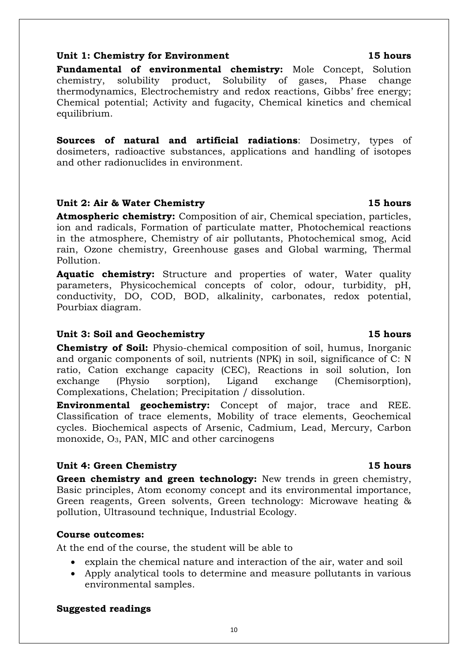#### **Unit 1: Chemistry for Environment 15 hours**

**Fundamental of environmental chemistry:** Mole Concept, Solution chemistry, solubility product, Solubility of gases, Phase change thermodynamics, Electrochemistry and redox reactions, Gibbs' free energy; Chemical potential; Activity and fugacity, Chemical kinetics and chemical equilibrium.

**Sources of natural and artificial radiations**: Dosimetry, types of dosimeters, radioactive substances, applications and handling of isotopes and other radionuclides in environment.

#### **Unit 2: Air & Water Chemistry 15 hours**

**Atmospheric chemistry:** Composition of air, Chemical speciation, particles, ion and radicals, Formation of particulate matter, Photochemical reactions in the atmosphere, Chemistry of air pollutants, Photochemical smog, Acid rain, Ozone chemistry, Greenhouse gases and Global warming, Thermal Pollution.

**Aquatic chemistry:** Structure and properties of water, Water quality parameters, Physicochemical concepts of color, odour, turbidity, pH, conductivity, DO, COD, BOD, alkalinity, carbonates, redox potential, Pourbiax diagram.

#### **Unit 3: Soil and Geochemistry 15 hours**

**Chemistry of Soil:** Physio-chemical composition of soil, humus, Inorganic and organic components of soil, nutrients (NPK) in soil, significance of C: N ratio, Cation exchange capacity (CEC), Reactions in soil solution, Ion exchange (Physio sorption), Ligand exchange (Chemisorption), Complexations, Chelation; Precipitation / dissolution.

**Environmental geochemistry:** Concept of major, trace and REE. Classification of trace elements, Mobility of trace elements, Geochemical cycles. Biochemical aspects of Arsenic, Cadmium, Lead, Mercury, Carbon monoxide, O3, PAN, MIC and other carcinogens

#### **Unit 4: Green Chemistry 15 hours**

**Green chemistry and green technology:** New trends in green chemistry, Basic principles, Atom economy concept and its environmental importance, Green reagents, Green solvents, Green technology: Microwave heating & pollution, Ultrasound technique, Industrial Ecology.

#### **Course outcomes:**

At the end of the course, the student will be able to

- explain the chemical nature and interaction of the air, water and soil
- Apply analytical tools to determine and measure pollutants in various environmental samples.

#### **Suggested readings**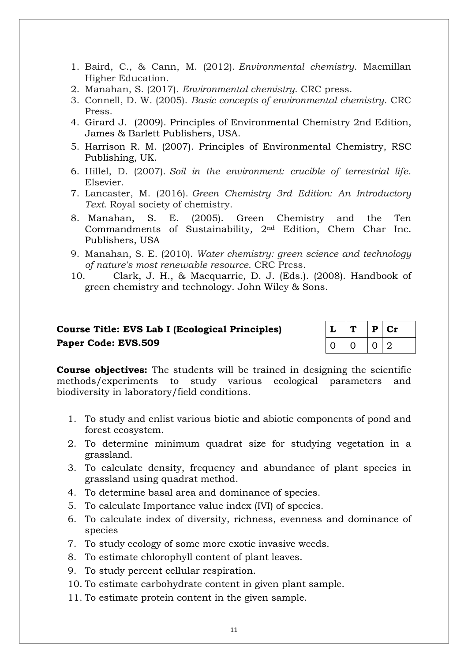- 1. Baird, C., & Cann, M. (2012). *Environmental chemistry*. Macmillan Higher Education.
- 2. Manahan, S. (2017). *Environmental chemistry*. CRC press.
- 3. Connell, D. W. (2005). *Basic concepts of environmental chemistry*. CRC Press.
- 4. Girard J. (2009). Principles of Environmental Chemistry 2nd Edition, James & Barlett Publishers, USA.
- 5. Harrison R. M. (2007). Principles of Environmental Chemistry, RSC Publishing, UK.
- 6. Hillel, D. (2007). *Soil in the environment: crucible of terrestrial life*. Elsevier.
- 7. Lancaster, M. (2016). *Green Chemistry 3rd Edition: An Introductory Text*. Royal society of chemistry.
- 8. Manahan, S. E. (2005). Green Chemistry and the Ten Commandments of Sustainability*,* 2nd Edition, Chem Char Inc. Publishers, USA
- 9. Manahan, S. E. (2010). *Water chemistry: green science and technology of nature's most renewable resource*. CRC Press.
- 10. Clark, J. H., & Macquarrie, D. J. (Eds.). (2008). Handbook of green chemistry and technology. John Wiley & Sons.

### **Course Title: EVS Lab I (Ecological Principles) Paper Code: EVS.509**

| ∙ ∎∙ |   | P   Cr                   |
|------|---|--------------------------|
|      | 0 | $\overline{\phantom{a}}$ |

**Course objectives:** The students will be trained in designing the scientific methods/experiments to study various ecological parameters and biodiversity in laboratory/field conditions.

- 1. To study and enlist various biotic and abiotic components of pond and forest ecosystem.
- 2. To determine minimum quadrat size for studying vegetation in a grassland.
- 3. To calculate density, frequency and abundance of plant species in grassland using quadrat method.
- 4. To determine basal area and dominance of species.
- 5. To calculate Importance value index (IVI) of species.
- 6. To calculate index of diversity, richness, evenness and dominance of species
- 7. To study ecology of some more exotic invasive weeds.
- 8. To estimate chlorophyll content of plant leaves.
- 9. To study percent cellular respiration.
- 10. To estimate carbohydrate content in given plant sample.
- 11. To estimate protein content in the given sample.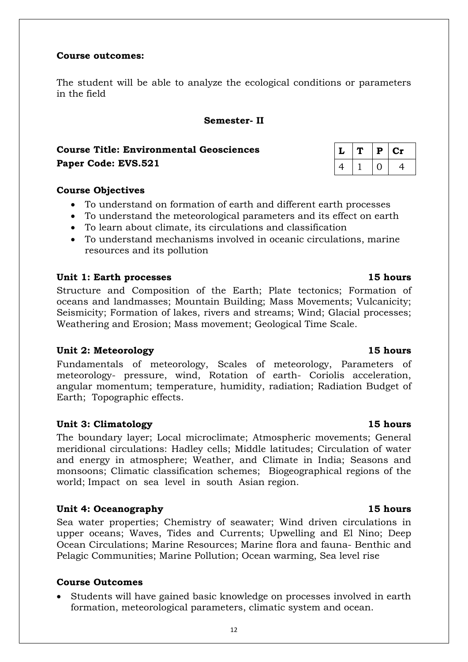#### **Course outcomes:**

The student will be able to analyze the ecological conditions or parameters in the field

#### **Semester- II**

### **Course Title: Environmental Geosciences Paper Code: EVS.521**

|  | P | Сr |
|--|---|----|
|  |   |    |

#### **Course Objectives**

- To understand on formation of earth and different earth processes
- To understand the meteorological parameters and its effect on earth
- To learn about climate, its circulations and classification
- To understand mechanisms involved in oceanic circulations, marine resources and its pollution

#### **Unit 1: Earth processes 15 hours**

Structure and Composition of the Earth; Plate tectonics; Formation of oceans and landmasses; Mountain Building; Mass Movements; Vulcanicity; Seismicity; Formation of lakes, rivers and streams; Wind; Glacial processes; Weathering and Erosion; Mass movement; Geological Time Scale.

#### **Unit 2: Meteorology 15 hours**

Fundamentals of meteorology, Scales of meteorology, Parameters of meteorology- pressure, wind, Rotation of earth- Coriolis acceleration, angular momentum; temperature, humidity, radiation; Radiation Budget of Earth; Topographic effects.

#### **Unit 3: Climatology 15 hours**

The boundary layer; Local microclimate; Atmospheric movements; General meridional circulations: Hadley cells; Middle latitudes; Circulation of water and energy in atmosphere; Weather, and Climate in India; Seasons and monsoons; Climatic classification schemes; Biogeographical regions of the world; Impact on sea level in south Asian region.

#### **Unit 4: Oceanography 15 hours**

Sea water properties; Chemistry of seawater; Wind driven circulations in upper oceans; Waves, Tides and Currents; Upwelling and El Nino; Deep Ocean Circulations; Marine Resources; Marine flora and fauna- Benthic and Pelagic Communities; Marine Pollution; Ocean warming, Sea level rise

#### **Course Outcomes**

 Students will have gained basic knowledge on processes involved in earth formation, meteorological parameters, climatic system and ocean.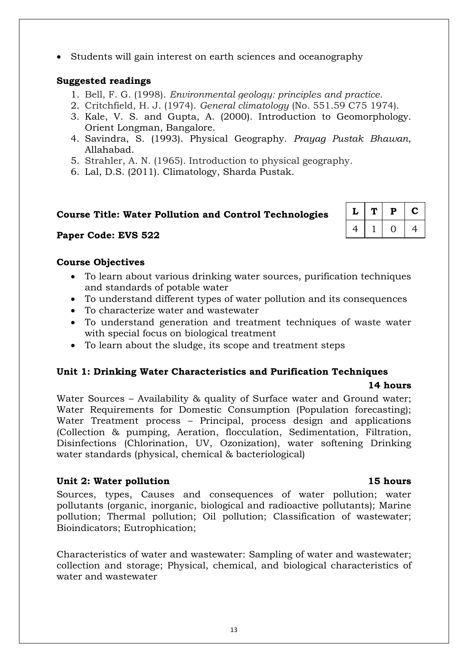Students will gain interest on earth sciences and oceanography

### **Suggested readings**

- 1. Bell, F. G. (1998). *Environmental geology: principles and practice*.
- 2. Critchfield, H. J. (1974). *General climatology* (No. 551.59 C75 1974).
- 3. Kale, V. S. and Gupta, A. (2000). Introduction to Geomorphology. Orient Longman, Bangalore.
- 4. Savindra, S. (1993). Physical Geography. *Prayag Pustak Bhawan*, Allahabad.
- 5. Strahler, A. N. (1965). Introduction to physical geography.
- 6. Lal, D.S. (2011). Climatology, Sharda Pustak.

### **Course Title: Water Pollution and Control Technologies**

| L | т | P | U |
|---|---|---|---|
| 4 |   |   | 4 |

#### **Paper Code: EVS 522**

#### **Course Objectives**

- To learn about various drinking water sources, purification techniques and standards of potable water
- To understand different types of water pollution and its consequences
- To characterize water and wastewater
- To understand generation and treatment techniques of waste water with special focus on biological treatment
- To learn about the sludge, its scope and treatment steps

### **Unit 1: Drinking Water Characteristics and Purification Techniques**

#### **14 hours**

Water Sources – Availability & quality of Surface water and Ground water; Water Requirements for Domestic Consumption (Population forecasting); Water Treatment process – Principal, process design and applications (Collection & pumping, Aeration, flocculation, Sedimentation, Filtration, Disinfections (Chlorination, UV, Ozonization), water softening Drinking water standards (physical, chemical & bacteriological)

#### **Unit 2: Water pollution 15 hours**

Sources, types, Causes and consequences of water pollution; water pollutants (organic, inorganic, biological and radioactive pollutants); Marine pollution; Thermal pollution; Oil pollution; Classification of wastewater; Bioindicators; Eutrophication;

Characteristics of water and wastewater: Sampling of water and wastewater; collection and storage; Physical, chemical, and biological characteristics of water and wastewater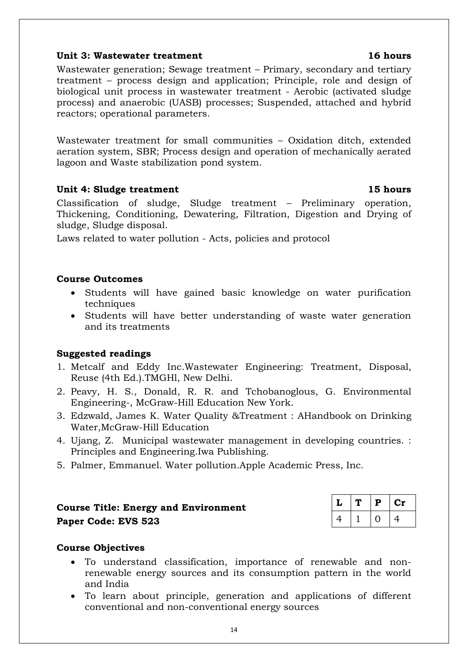#### **Unit 3: Wastewater treatment 16 hours**

Wastewater generation; Sewage treatment – Primary, secondary and tertiary treatment – process design and application; Principle, role and design of biological unit process in wastewater treatment - Aerobic (activated sludge process) and anaerobic (UASB) processes; Suspended, attached and hybrid reactors; operational parameters.

Wastewater treatment for small communities – Oxidation ditch, extended aeration system, SBR; Process design and operation of mechanically aerated lagoon and Waste stabilization pond system.

#### **Unit 4: Sludge treatment 15 hours**

Classification of sludge, Sludge treatment – Preliminary operation, Thickening, Conditioning, Dewatering, Filtration, Digestion and Drying of sludge, Sludge disposal.

Laws related to water pollution - Acts, policies and protocol

### **Course Outcomes**

- Students will have gained basic knowledge on water purification techniques
- Students will have better understanding of waste water generation and its treatments

### **Suggested readings**

- 1. Metcalf and Eddy Inc.Wastewater Engineering: Treatment, Disposal, Reuse (4th Ed.).TMGHl, New Delhi.
- 2. Peavy, H. S., Donald, R. R. and Tchobanoglous, G. Environmental Engineering-, McGraw-Hill Education New York.
- 3. Edzwald, James K. Water Quality &Treatment : AHandbook on Drinking Water,McGraw-Hill Education
- 4. Ujang, Z. Municipal wastewater management in developing countries. : Principles and Engineering.Iwa Publishing.
- 5. Palmer, Emmanuel. Water pollution.Apple Academic Press, Inc.

#### **Course Title: Energy and Environment Paper Code: EVS 523**

| L  | Р | Сr |
|----|---|----|
| л. |   | 4  |

### **Course Objectives**

- To understand classification, importance of renewable and nonrenewable energy sources and its consumption pattern in the world and India
- To learn about principle, generation and applications of different conventional and non-conventional energy sources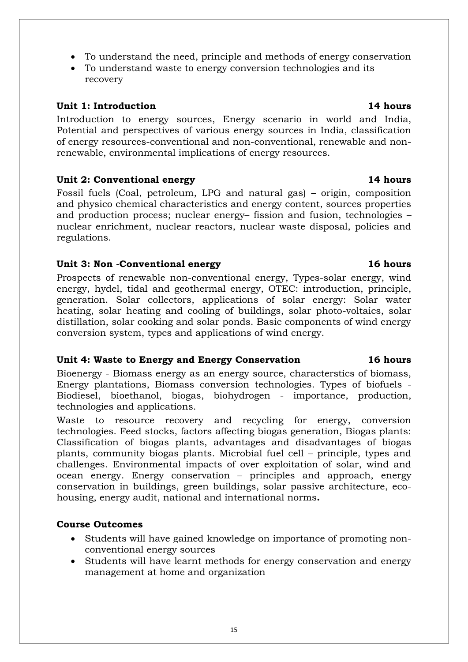- To understand the need, principle and methods of energy conservation
- To understand waste to energy conversion technologies and its recovery

### **Unit 1: Introduction 14 hours**

Introduction to energy sources, Energy scenario in world and India, Potential and perspectives of various energy sources in India, classification of energy resources-conventional and non-conventional, renewable and nonrenewable, environmental implications of energy resources.

### **Unit 2: Conventional energy 14 hours**

Fossil fuels (Coal, petroleum, LPG and natural gas) – origin, composition and physico chemical characteristics and energy content, sources properties and production process; nuclear energy– fission and fusion, technologies – nuclear enrichment, nuclear reactors, nuclear waste disposal, policies and regulations.

### **Unit 3: Non -Conventional energy 16 hours**

Prospects of renewable non-conventional energy, Types-solar energy, wind energy, hydel, tidal and geothermal energy, OTEC: introduction, principle, generation. Solar collectors, applications of solar energy: Solar water heating, solar heating and cooling of buildings, solar photo-voltaics, solar distillation, solar cooking and solar ponds. Basic components of wind energy conversion system, types and applications of wind energy.

### **Unit 4: Waste to Energy and Energy Conservation 16 hours**

Bioenergy - Biomass energy as an energy source, characterstics of biomass, Energy plantations, Biomass conversion technologies. Types of biofuels - Biodiesel, bioethanol, biogas, biohydrogen - importance, production, technologies and applications.

Waste to resource recovery and recycling for energy, conversion technologies. Feed stocks, factors affecting biogas generation, Biogas plants: Classification of biogas plants, advantages and disadvantages of biogas plants, community biogas plants. Microbial fuel cell – principle, types and challenges. Environmental impacts of over exploitation of solar, wind and ocean energy. Energy conservation – principles and approach, energy conservation in buildings, green buildings, solar passive architecture, ecohousing, energy audit, national and international norms**.**

### **Course Outcomes**

- Students will have gained knowledge on importance of promoting nonconventional energy sources
- Students will have learnt methods for energy conservation and energy management at home and organization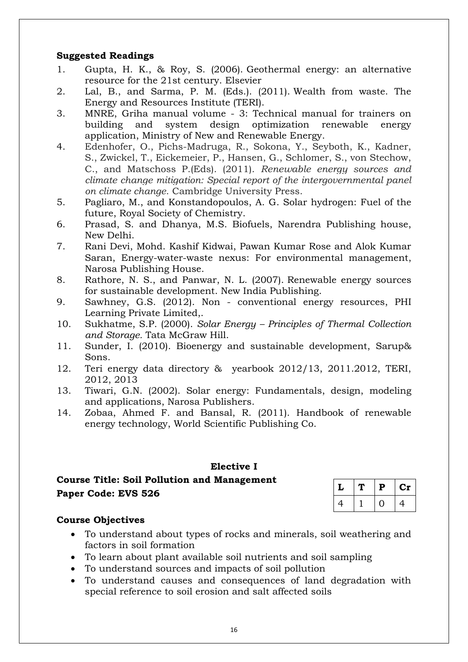#### **Suggested Readings**

- 1. Gupta, H. K., & Roy, S. (2006). Geothermal energy: an alternative resource for the 21st century. Elsevier
- 2. Lal, B., and Sarma, P. M. (Eds.). (2011). Wealth from waste. The Energy and Resources Institute (TERI).
- 3. MNRE, Griha manual volume 3: Technical manual for trainers on building and system design optimization renewable energy application, Ministry of New and Renewable Energy.
- 4. Edenhofer, O., Pichs-Madruga, R., Sokona, Y., Seyboth, K., Kadner, S., Zwickel, T., Eickemeier, P., Hansen, G., Schlomer, S., von Stechow, C., and Matschoss P.(Eds). (2011). *Renewable energy sources and climate change mitigation: Special report of the intergovernmental panel on climate change*. Cambridge University Press.
- 5. Pagliaro, M., and Konstandopoulos, A. G. Solar hydrogen: Fuel of the future, Royal Society of Chemistry.
- 6. Prasad, S. and Dhanya, M.S. Biofuels, Narendra Publishing house, New Delhi.
- 7. Rani Devi, Mohd. Kashif Kidwai, Pawan Kumar Rose and Alok Kumar Saran, Energy-water-waste nexus: For environmental management, Narosa Publishing House.
- 8. Rathore, N. S., and Panwar, N. L. (2007). Renewable energy sources for sustainable development. New India Publishing.
- 9. Sawhney, G.S. (2012). Non conventional energy resources, PHI Learning Private Limited,.
- 10. Sukhatme, S.P. (2000). *Solar Energy – Principles of Thermal Collection and Storage.* Tata McGraw Hill.
- 11. Sunder, I. (2010). Bioenergy and sustainable development, Sarup& Sons.
- 12. Teri energy data directory & yearbook 2012/13, 2011.2012, TERI, 2012, 2013
- 13. Tiwari, G.N. (2002). Solar energy: Fundamentals, design, modeling and applications, Narosa Publishers.
- 14. Zobaa, Ahmed F. and Bansal, R. (2011). Handbook of renewable energy technology, World Scientific Publishing Co.

#### **Elective I**

### **Course Title: Soil Pollution and Management Paper Code: EVS 526**

| u | P | Сr |
|---|---|----|
| 4 |   | 4  |

#### **Course Objectives**

- To understand about types of rocks and minerals, soil weathering and factors in soil formation
- To learn about plant available soil nutrients and soil sampling
- To understand sources and impacts of soil pollution
- To understand causes and consequences of land degradation with special reference to soil erosion and salt affected soils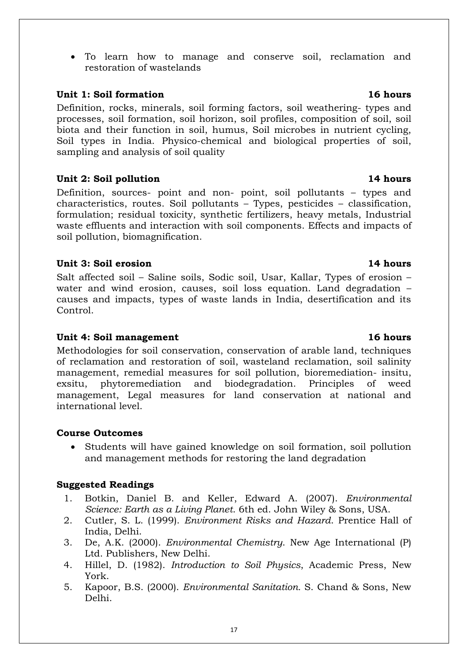To learn how to manage and conserve soil, reclamation and restoration of wastelands

### **Unit 1: Soil formation 16 hours**

Definition, rocks, minerals, soil forming factors, soil weathering- types and processes, soil formation, soil horizon, soil profiles, composition of soil, soil biota and their function in soil, humus, Soil microbes in nutrient cycling, Soil types in India. Physico-chemical and biological properties of soil, sampling and analysis of soil quality

### **Unit 2: Soil pollution 14 hours**

Definition, sources- point and non- point, soil pollutants – types and characteristics, routes. Soil pollutants – Types, pesticides – classification, formulation; residual toxicity, synthetic fertilizers, heavy metals, Industrial waste effluents and interaction with soil components. Effects and impacts of soil pollution, biomagnification.

### **Unit 3: Soil erosion 14 hours**

Salt affected soil – Saline soils, Sodic soil, Usar, Kallar, Types of erosion – water and wind erosion, causes, soil loss equation. Land degradation – causes and impacts, types of waste lands in India, desertification and its Control.

### **Unit 4: Soil management 16 hours**

Methodologies for soil conservation, conservation of arable land, techniques of reclamation and restoration of soil, wasteland reclamation, soil salinity management, remedial measures for soil pollution, bioremediation- insitu, exsitu, phytoremediation and biodegradation. Principles of weed management, Legal measures for land conservation at national and international level.

### **Course Outcomes**

 Students will have gained knowledge on soil formation, soil pollution and management methods for restoring the land degradation

### **Suggested Readings**

- 1. Botkin, Daniel B. and Keller, Edward A. (2007). *Environmental Science: Earth as a Living Planet*. 6th ed. John Wiley & Sons, USA.
- 2. Cutler, S. L. (1999). *Environment Risks and Hazard*. Prentice Hall of India, Delhi.
- 3. De, A.K. (2000). *Environmental Chemistry*. New Age International (P) Ltd. Publishers, New Delhi.
- 4. Hillel, D. (1982). *Introduction to Soil Physics*, Academic Press, New York.
- 5. Kapoor, B.S. (2000). *Environmental Sanitation.* S. Chand & Sons, New Delhi.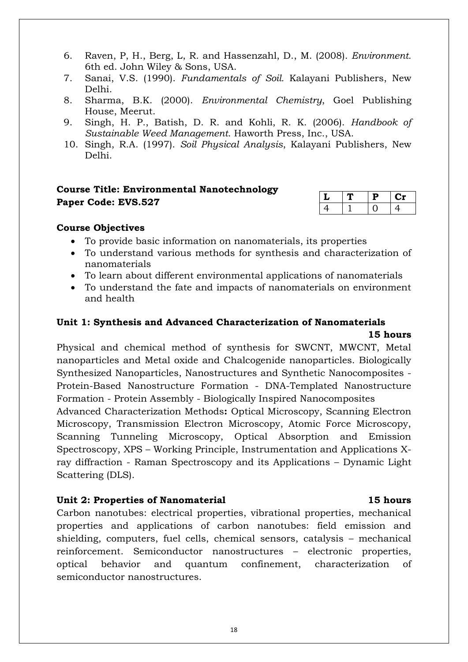- 6. Raven, P, H., Berg, L, R. and Hassenzahl, D., M. (2008). *Environment.*  6th ed. John Wiley & Sons, USA.
- 7. Sanai, V.S. (1990). *Fundamentals of Soil.* Kalayani Publishers, New Delhi.
- 8. Sharma, B.K. (2000). *Environmental Chemistry*, Goel Publishing House, Meerut.
- 9. Singh, H. P., Batish, D. R. and Kohli, R. K. (2006). *Handbook of Sustainable Weed Management*. Haworth Press, Inc., USA.
- 10. Singh, R.A. (1997). *Soil Physical Analysis*, Kalayani Publishers, New Delhi.

### **Course Title: Environmental Nanotechnology Paper Code: EVS.527**

| L | D |  |
|---|---|--|
| 4 |   |  |

#### **Course Objectives**

- To provide basic information on nanomaterials, its properties
- To understand various methods for synthesis and characterization of nanomaterials
- To learn about different environmental applications of nanomaterials
- To understand the fate and impacts of nanomaterials on environment and health

### **Unit 1: Synthesis and Advanced Characterization of Nanomaterials 15 hours**

Physical and chemical method of synthesis for SWCNT, MWCNT, Metal nanoparticles and Metal oxide and Chalcogenide nanoparticles. Biologically Synthesized Nanoparticles, Nanostructures and Synthetic Nanocomposites - Protein-Based Nanostructure Formation - DNA-Templated Nanostructure Formation - Protein Assembly - Biologically Inspired Nanocomposites

Advanced Characterization Methods**:** Optical Microscopy, Scanning Electron Microscopy, Transmission Electron Microscopy, Atomic Force Microscopy, Scanning Tunneling Microscopy, Optical Absorption and Emission Spectroscopy, XPS – Working Principle, Instrumentation and Applications Xray diffraction - Raman Spectroscopy and its Applications – Dynamic Light Scattering (DLS).

#### **Unit 2: Properties of Nanomaterial 15 hours**

Carbon nanotubes: electrical properties, vibrational properties, mechanical properties and applications of carbon nanotubes: field emission and shielding, computers, fuel cells, chemical sensors, catalysis – mechanical reinforcement. Semiconductor nanostructures – electronic properties, optical behavior and quantum confinement, characterization of semiconductor nanostructures.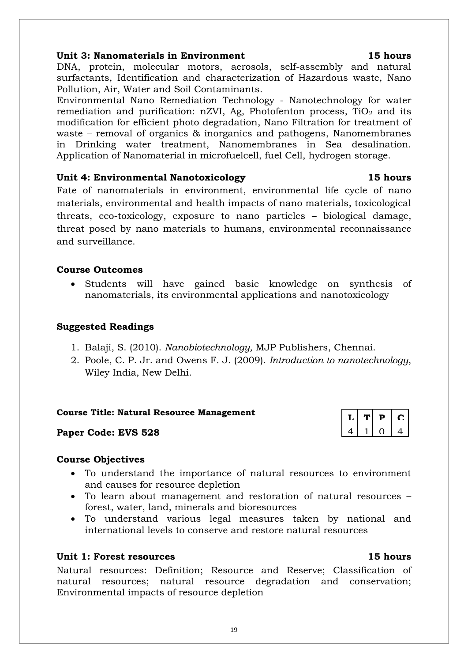#### 19

#### **Unit 3: Nanomaterials in Environment 15 hours**

DNA, protein, molecular motors, aerosols, self-assembly and natural surfactants, Identification and characterization of Hazardous waste, Nano Pollution, Air, Water and Soil Contaminants.

Environmental Nano Remediation Technology - Nanotechnology for water remediation and purification:  $nZVI$ , Ag, Photofenton process,  $TiO<sub>2</sub>$  and its modification for efficient photo degradation, Nano Filtration for treatment of waste – removal of organics & inorganics and pathogens, Nanomembranes in Drinking water treatment, Nanomembranes in Sea desalination. Application of Nanomaterial in microfuelcell, fuel Cell, hydrogen storage.

#### **Unit 4: Environmental Nanotoxicology 15 hours**

Fate of nanomaterials in environment, environmental life cycle of nano materials, environmental and health impacts of nano materials, toxicological threats, eco-toxicology, exposure to nano particles – biological damage, threat posed by nano materials to humans, environmental reconnaissance and surveillance.

#### **Course Outcomes**

 Students will have gained basic knowledge on synthesis of nanomaterials, its environmental applications and nanotoxicology

#### **Suggested Readings**

- 1. Balaji, S. (2010). *Nanobiotechnology,* MJP Publishers, Chennai.
- 2. Poole, C. P. Jr. and Owens F. J. (2009). *Introduction to nanotechnology*, Wiley India, New Delhi.

#### **Course Title: Natural Resource Management**

### **Paper Code: EVS 528**

#### **Course Objectives**

- To understand the importance of natural resources to environment and causes for resource depletion
- To learn about management and restoration of natural resources forest, water, land, minerals and bioresources
- To understand various legal measures taken by national and international levels to conserve and restore natural resources

#### **Unit 1: Forest resources 15 hours**

Natural resources: Definition; Resource and Reserve; Classification of natural resources; natural resource degradation and conservation; Environmental impacts of resource depletion

## $L |T| P |C$ 4 1 0 4**r**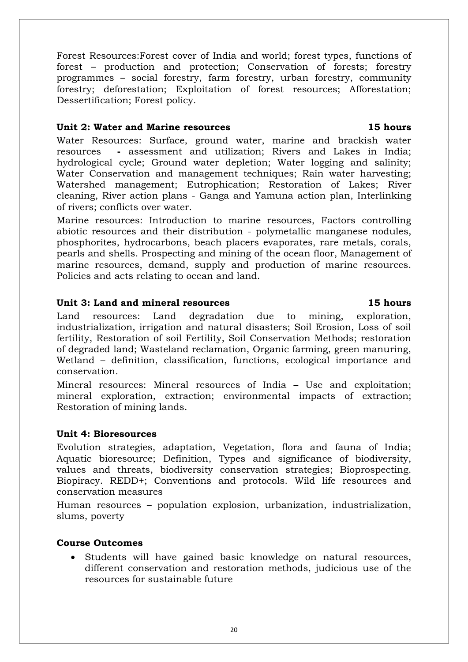Forest Resources:Forest cover of India and world; forest types, functions of forest – production and protection; Conservation of forests; forestry programmes – social forestry, farm forestry, urban forestry, community forestry; deforestation; Exploitation of forest resources; Afforestation; Dessertification; Forest policy.

#### **Unit 2: Water and Marine resources 15 hours**

Water Resources: Surface, ground water, marine and brackish water resources **-** assessment and utilization; Rivers and Lakes in India; hydrological cycle; Ground water depletion; Water logging and salinity; Water Conservation and management techniques; Rain water harvesting; Watershed management; Eutrophication; Restoration of Lakes; River cleaning, River action plans - Ganga and Yamuna action plan, Interlinking of rivers; conflicts over water.

Marine resources: Introduction to marine resources, Factors controlling abiotic resources and their distribution - polymetallic manganese nodules, phosphorites, hydrocarbons, beach placers evaporates, rare metals, corals, pearls and shells. Prospecting and mining of the ocean floor, Management of marine resources, demand, supply and production of marine resources. Policies and acts relating to ocean and land.

#### **Unit 3: Land and mineral resources 15 hours**

Land resources: Land degradation due to mining, exploration, industrialization, irrigation and natural disasters; Soil Erosion, Loss of soil fertility, Restoration of soil Fertility, Soil Conservation Methods; restoration of degraded land; Wasteland reclamation, Organic farming, green manuring, Wetland – definition, classification, functions, ecological importance and conservation.

Mineral resources: Mineral resources of India – Use and exploitation; mineral exploration, extraction; environmental impacts of extraction; Restoration of mining lands.

#### **Unit 4: Bioresources**

Evolution strategies, adaptation, Vegetation, flora and fauna of India; Aquatic bioresource; Definition, Types and significance of biodiversity, values and threats, biodiversity conservation strategies; Bioprospecting. Biopiracy. REDD+; Conventions and protocols. Wild life resources and conservation measures

Human resources – population explosion, urbanization, industrialization, slums, poverty

#### **Course Outcomes**

 Students will have gained basic knowledge on natural resources, different conservation and restoration methods, judicious use of the resources for sustainable future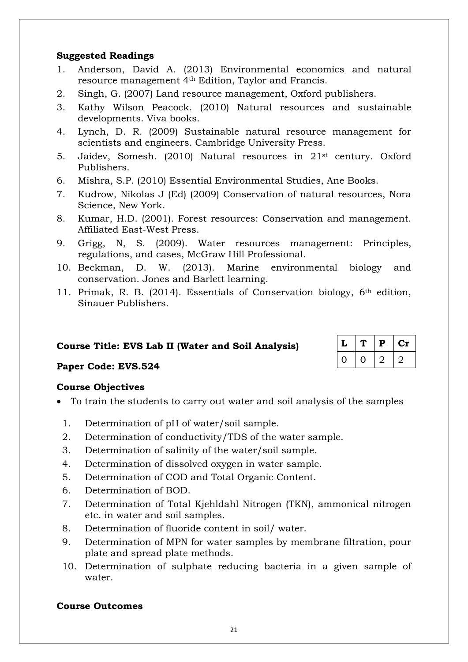#### **Suggested Readings**

- 1. Anderson, David A. (2013) Environmental economics and natural resource management 4th Edition, Taylor and Francis.
- 2. Singh, G. (2007) Land resource management, Oxford publishers.
- 3. Kathy Wilson Peacock. (2010) Natural resources and sustainable developments. Viva books.
- 4. Lynch, D. R. (2009) Sustainable natural resource management for scientists and engineers. Cambridge University Press.
- 5. Jaidev, Somesh. (2010) Natural resources in 21st century. Oxford Publishers.
- 6. Mishra, S.P. (2010) Essential Environmental Studies, Ane Books.
- 7. Kudrow, Nikolas J (Ed) (2009) Conservation of natural resources, Nora Science, New York.
- 8. Kumar, H.D. (2001). Forest resources: Conservation and management. Affiliated East-West Press.
- 9. Grigg, N, S. (2009). Water resources management: Principles, regulations, and cases, McGraw Hill Professional.
- 10. Beckman, D. W. (2013). Marine environmental biology and conservation. Jones and Barlett learning.
- 11. Primak, R. B. (2014). Essentials of Conservation biology, 6th edition, Sinauer Publishers.

### **Course Title: EVS Lab II (Water and Soil Analysis)**

|     | Р  | Сr |
|-----|----|----|
| . . | ., | ., |

### **Paper Code: EVS.524**

#### **Course Objectives**

- To train the students to carry out water and soil analysis of the samples
	- 1. Determination of pH of water/soil sample.
	- 2. Determination of conductivity/TDS of the water sample.
	- 3. Determination of salinity of the water/soil sample.
	- 4. Determination of dissolved oxygen in water sample.
	- 5. Determination of COD and Total Organic Content.
	- 6. Determination of BOD.
	- 7. Determination of Total Kjehldahl Nitrogen (TKN), ammonical nitrogen etc. in water and soil samples.
	- 8. Determination of fluoride content in soil/ water.
	- 9. Determination of MPN for water samples by membrane filtration, pour plate and spread plate methods.
	- 10. Determination of sulphate reducing bacteria in a given sample of water.

#### **Course Outcomes**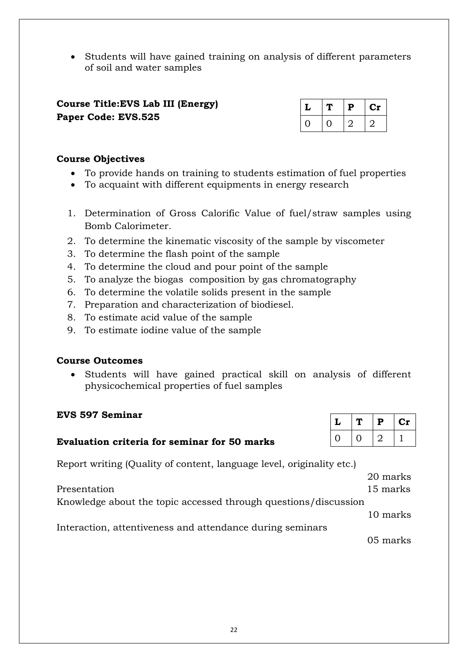Students will have gained training on analysis of different parameters of soil and water samples

**Course Title:EVS Lab III (Energy) Paper Code: EVS.525**

| L |    | P       | $\mathbf{Cr}$ |
|---|----|---------|---------------|
|   | ۰, | $\cdot$ |               |

 $L \mid T \mid P \mid Cr$ 

 $0 \t 0 \t 2 \t 1$ 

#### **Course Objectives**

- To provide hands on training to students estimation of fuel properties
- To acquaint with different equipments in energy research
- 1. Determination of Gross Calorific Value of fuel/straw samples using Bomb Calorimeter.
- 2. To determine the kinematic viscosity of the sample by viscometer
- 3. To determine the flash point of the sample
- 4. To determine the cloud and pour point of the sample
- 5. To analyze the biogas composition by gas chromatography
- 6. To determine the volatile solids present in the sample
- 7. Preparation and characterization of biodiesel.
- 8. To estimate acid value of the sample
- 9. To estimate iodine value of the sample

### **Course Outcomes**

 Students will have gained practical skill on analysis of different physicochemical properties of fuel samples

### **EVS 597 Seminar**

Report writing (Quality of content, language level, originality etc.)

|                                                                 | 20 marks |
|-----------------------------------------------------------------|----------|
| Presentation                                                    | 15 marks |
| Knowledge about the topic accessed through questions/discussion |          |
|                                                                 | 10 marks |
| Interaction, attentiveness and attendance during seminars       |          |
|                                                                 | 05 marks |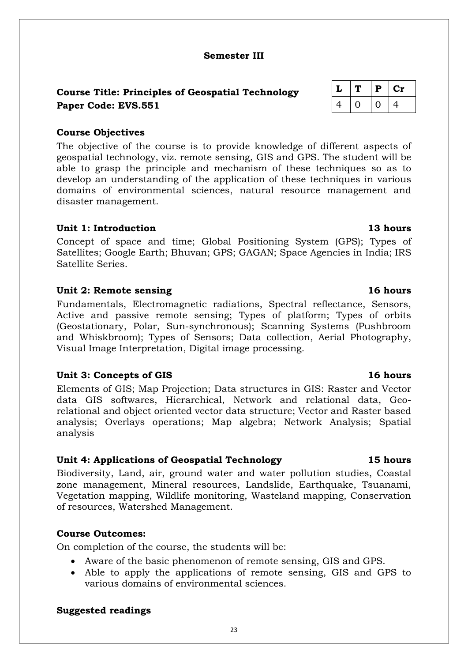#### **Semester III**

### **Course Title: Principles of Geospatial Technology Paper Code: EVS.551**

#### **Course Objectives**

The objective of the course is to provide knowledge of different aspects of geospatial technology, viz. remote sensing, GIS and GPS. The student will be able to grasp the principle and mechanism of these techniques so as to develop an understanding of the application of these techniques in various domains of environmental sciences, natural resource management and disaster management.

#### **Unit 1: Introduction 13 hours**

Concept of space and time; Global Positioning System (GPS); Types of Satellites; Google Earth; Bhuvan; GPS; GAGAN; Space Agencies in India; IRS Satellite Series.

#### **Unit 2: Remote sensing 16 hours**

Fundamentals, Electromagnetic radiations, Spectral reflectance, Sensors, Active and passive remote sensing; Types of platform; Types of orbits (Geostationary, Polar, Sun-synchronous); Scanning Systems (Pushbroom and Whiskbroom); Types of Sensors; Data collection, Aerial Photography, Visual Image Interpretation, Digital image processing.

#### **Unit 3: Concepts of GIS 16 hours**

Elements of GIS; Map Projection; Data structures in GIS: Raster and Vector data GIS softwares, Hierarchical, Network and relational data, Georelational and object oriented vector data structure; Vector and Raster based analysis; Overlays operations; Map algebra; Network Analysis; Spatial analysis

#### **Unit 4: Applications of Geospatial Technology 15 hours**

Biodiversity, Land, air, ground water and water pollution studies, Coastal zone management, Mineral resources, Landslide, Earthquake, Tsuanami, Vegetation mapping, Wildlife monitoring, Wasteland mapping, Conservation of resources, Watershed Management.

#### **Course Outcomes:**

On completion of the course, the students will be:

- Aware of the basic phenomenon of remote sensing, GIS and GPS.
- Able to apply the applications of remote sensing, GIS and GPS to various domains of environmental sciences.

#### **Suggested readings**

# $L$  |  $T$  |  $P$  |  $Cr$ 4 0 0 4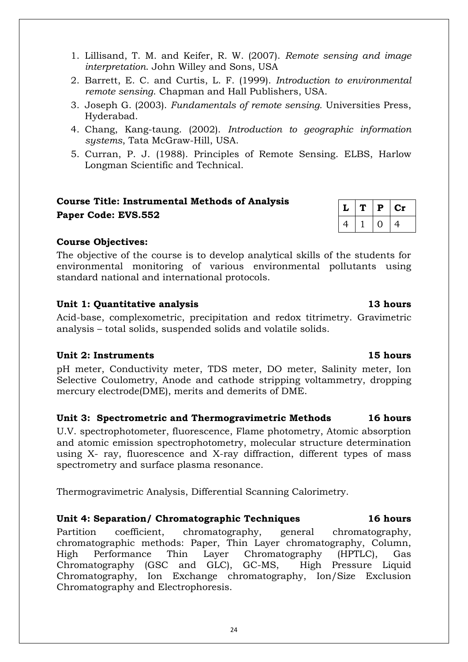- 1. Lillisand, T. M. and Keifer, R. W. (2007). *Remote sensing and image interpretation*. John Willey and Sons, USA
- 2. Barrett, E. C. and Curtis, L. F. (1999). *Introduction to environmental remote sensing*. Chapman and Hall Publishers, USA.
- 3. Joseph G. (2003). *Fundamentals of remote sensing.* Universities Press, Hyderabad.
- 4. Chang, Kang-taung. (2002). *Introduction to geographic information systems*, Tata McGraw-Hill, USA.
- 5. Curran, P. J. (1988). Principles of Remote Sensing. ELBS, Harlow Longman Scientific and Technical.

### **Course Title: Instrumental Methods of Analysis Paper Code: EVS.552**

### **Course Objectives:**

The objective of the course is to develop analytical skills of the students for environmental monitoring of various environmental pollutants using standard national and international protocols.

#### **Unit 1: Quantitative analysis 13 hours**

Acid-base, complexometric, precipitation and redox titrimetry. Gravimetric analysis – total solids, suspended solids and volatile solids.

#### **Unit 2: Instruments 15 hours**

pH meter, Conductivity meter, TDS meter, DO meter, Salinity meter, Ion Selective Coulometry, Anode and cathode stripping voltammetry, dropping mercury electrode(DME), merits and demerits of DME.

#### **Unit 3: Spectrometric and Thermogravimetric Methods 16 hours**

U.V. spectrophotometer, fluorescence, Flame photometry, Atomic absorption and atomic emission spectrophotometry, molecular structure determination using X- ray, fluorescence and X-ray diffraction, different types of mass spectrometry and surface plasma resonance.

Thermogravimetric Analysis, Differential Scanning Calorimetry.

### **Unit 4: Separation/ Chromatographic Techniques 16 hours**

Partition coefficient, chromatography, general chromatography, chromatographic methods: Paper, Thin Layer chromatography, Column, High Performance Thin Layer Chromatography (HPTLC), Gas Chromatography (GSC and GLC), GC-MS, High Pressure Liquid Chromatography, Ion Exchange chromatography, Ion/Size Exclusion Chromatography and Electrophoresis.

|   | . . | Р | Сr |
|---|-----|---|----|
| 4 |     |   | Δ. |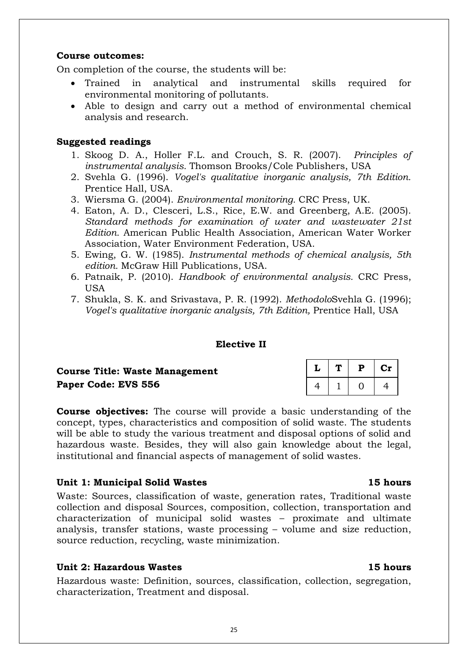#### **Course outcomes:**

On completion of the course, the students will be:

- Trained in analytical and instrumental skills required for environmental monitoring of pollutants.
- Able to design and carry out a method of environmental chemical analysis and research.

#### **Suggested readings**

- 1. Skoog D. A., Holler F.L. and Crouch, S. R. (2007). *Principles of instrumental analysis.* Thomson Brooks/Cole Publishers, USA
- 2. Svehla G. (1996). *Vogel's qualitative inorganic analysis, 7th Edition.*  Prentice Hall, USA.
- 3. Wiersma G. (2004). *Environmental monitoring.* CRC Press, UK.
- 4. Eaton, A. D., Clesceri, L.S., Rice, E.W. and Greenberg, A.E. (2005). *Standard methods for examination of water and wastewater 21st Edition.* American Public Health Association, American Water Worker Association, Water Environment Federation, USA.
- 5. Ewing, G. W. (1985). *Instrumental methods of chemical analysis, 5th edition.* McGraw Hill Publications, USA.
- 6. Patnaik, P. (2010). *Handbook of environmental analysis.* CRC Press, USA
- 7. Shukla, S. K. and Srivastava, P. R. (1992). *Methodolo*Svehla G. (1996); *Vogel's qualitative inorganic analysis, 7th Edition,* Prentice Hall, USA

#### **Elective II**

| <b>Course Title: Waste Management</b> |  | $\vert L \vert T \vert P \vert Cr$                                       |  |
|---------------------------------------|--|--------------------------------------------------------------------------|--|
| Paper Code: EVS 556                   |  | $\begin{array}{ c c c c c c } \hline 4 & 1 & 0 & 4 \ \hline \end{array}$ |  |

**Course objectives:** The course will provide a basic understanding of the concept, types, characteristics and composition of solid waste. The students will be able to study the various treatment and disposal options of solid and hazardous waste. Besides, they will also gain knowledge about the legal, institutional and financial aspects of management of solid wastes.

#### **Unit 1: Municipal Solid Wastes 15 hours**

Waste: Sources, classification of waste, generation rates, Traditional waste collection and disposal Sources, composition, collection, transportation and characterization of municipal solid wastes – proximate and ultimate analysis, transfer stations, waste processing – volume and size reduction, source reduction, recycling, waste minimization.

#### **Unit 2: Hazardous Wastes 15 hours**

Hazardous waste: Definition, sources, classification, collection, segregation, characterization, Treatment and disposal.

#### 25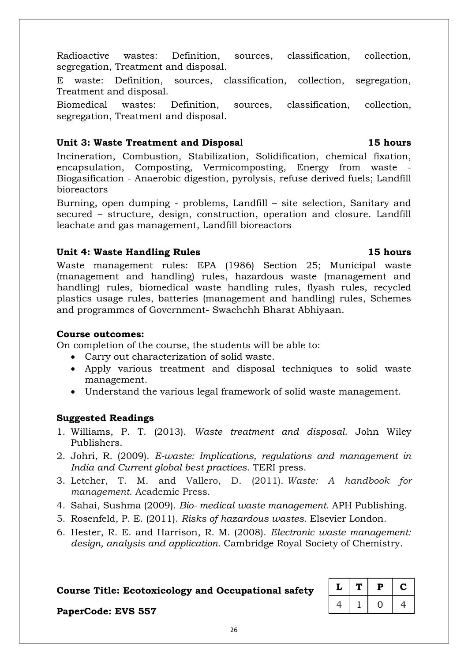Radioactive wastes: Definition, sources, classification, collection, segregation, Treatment and disposal.

E waste: Definition, sources, classification, collection, segregation, Treatment and disposal.

Biomedical wastes: Definition, sources, classification, collection, segregation, Treatment and disposal.

### **Unit 3: Waste Treatment and Disposa**l **15 hours**

Incineration, Combustion, Stabilization, Solidification, chemical fixation, encapsulation, Composting, Vermicomposting, Energy from waste - Biogasification - Anaerobic digestion, pyrolysis, refuse derived fuels; Landfill bioreactors

Burning, open dumping - problems, Landfill – site selection, Sanitary and secured – structure, design, construction, operation and closure. Landfill leachate and gas management, Landfill bioreactors

### **Unit 4: Waste Handling Rules 15 hours**

Waste management rules: EPA (1986) Section 25; Municipal waste (management and handling) rules, hazardous waste (management and handling) rules, biomedical waste handling rules, flyash rules, recycled plastics usage rules, batteries (management and handling) rules, Schemes and programmes of Government- Swachchh Bharat Abhiyaan.

### **Course outcomes:**

On completion of the course, the students will be able to:

- Carry out characterization of solid waste.
- Apply various treatment and disposal techniques to solid waste management.
- Understand the various legal framework of solid waste management.

### **Suggested Readings**

**PaperCode: EVS 557**

- 1. Williams, P. T. (2013). *Waste treatment and disposal*. John Wiley Publishers.
- 2. Johri, R. (2009). *E-waste: Implications, regulations and management in India and Current global best practices*. TERI press.
- 3. Letcher, T. M. and Vallero, D. (2011). *Waste: A handbook for management*. Academic Press.
- 4. Sahai, Sushma (2009). *Bio- medical waste management.* APH Publishing.
- 5. Rosenfeld, P. E. (2011). *Risks of hazardous wastes.* Elsevier London.
- 6. Hester, R. E. and Harrison, R. M. (2008). *Electronic waste management: design, analysis and application.* Cambridge Royal Society of Chemistry.

### **Course Title: Ecotoxicology and Occupational safety**

| L | т | P   | U |
|---|---|-----|---|
| 4 |   | . . | 4 |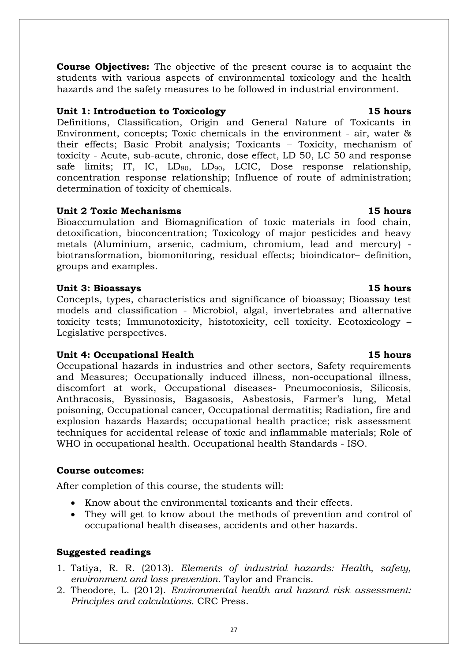**Course Objectives:** The objective of the present course is to acquaint the students with various aspects of environmental toxicology and the health hazards and the safety measures to be followed in industrial environment.

#### **Unit 1: Introduction to Toxicology 15 hours**

Definitions, Classification, Origin and General Nature of Toxicants in Environment, concepts; Toxic chemicals in the environment - air, water & their effects; Basic Probit analysis; Toxicants – Toxicity, mechanism of toxicity - Acute, sub-acute, chronic, dose effect, LD 50, LC 50 and response safe limits; IT, IC,  $LD_{80}$ ,  $LD_{90}$ , LCIC, Dose response relationship, concentration response relationship; Influence of route of administration; determination of toxicity of chemicals.

#### **Unit 2 Toxic Mechanisms 15 hours**

Bioaccumulation and Biomagnification of toxic materials in food chain, detoxification, bioconcentration; Toxicology of major pesticides and heavy metals (Aluminium, arsenic, cadmium, chromium, lead and mercury) biotransformation, biomonitoring, residual effects; bioindicator– definition, groups and examples.

#### **Unit 3: Bioassays 15 hours**

Concepts, types, characteristics and significance of bioassay; Bioassay test models and classification - Microbiol, algal, invertebrates and alternative toxicity tests; Immunotoxicity, histotoxicity, cell toxicity. Ecotoxicology – Legislative perspectives.

### **Unit 4: Occupational Health 15 hours**

Occupational hazards in industries and other sectors, Safety requirements and Measures; Occupationally induced illness, non-occupational illness, discomfort at work, Occupational diseases- Pneumoconiosis, Silicosis, Anthracosis, Byssinosis, Bagasosis, Asbestosis, Farmer's lung, Metal poisoning, Occupational cancer, Occupational dermatitis; Radiation, fire and explosion hazards Hazards; occupational health practice; risk assessment techniques for accidental release of toxic and inflammable materials; Role of WHO in occupational health. Occupational health Standards - ISO.

### **Course outcomes:**

After completion of this course, the students will:

- Know about the environmental toxicants and their effects.
- They will get to know about the methods of prevention and control of occupational health diseases, accidents and other hazards.

### **Suggested readings**

- 1. Tatiya, R. R. (2013). *Elements of industrial hazards: Health, safety, environment and loss prevention.* Taylor and Francis.
- 2. Theodore, L. (2012). *Environmental health and hazard risk assessment: Principles and calculations.* CRC Press.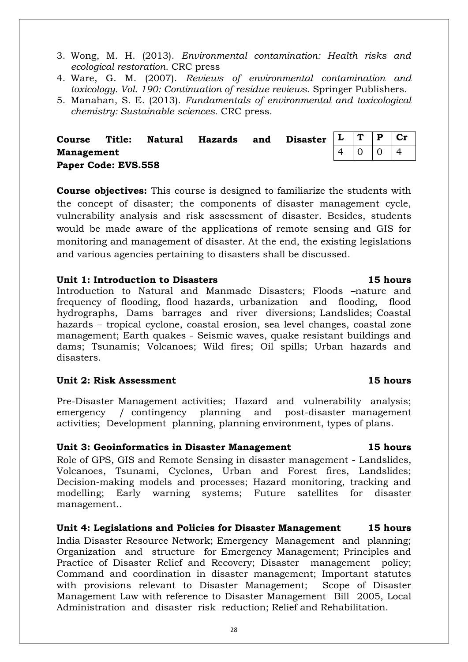- Administration and disaster risk reduction; Relief and Rehabilitation.
	- 28
- **Unit 4: Legislations and Policies for Disaster Management 15 hours** India Disaster Resource Network; Emergency Management and planning; Organization and structure for Emergency Management; Principles and Practice of Disaster Relief and Recovery; Disaster management policy; Command and coordination in disaster management; Important statutes with provisions relevant to Disaster Management; Scope of Disaster Management Law with reference to Disaster Management Bill 2005, Local

#### Role of GPS, GIS and Remote Sensing in disaster management - Landslides, Volcanoes, Tsunami, Cyclones, Urban and Forest fires, Landslides; Decision-making models and processes; Hazard monitoring, tracking and

emergency / contingency planning and post-disaster management activities; Development planning, planning environment, types of plans. **Unit 3: Geoinformatics in Disaster Management 15 hours**

modelling; Early warning systems; Future satellites for disaster

# Pre-Disaster Management activities; Hazard and vulnerability analysis;

management..

frequency of flooding, flood hazards, urbanization and flooding, flood hydrographs, Dams barrages and river diversions; Landslides; Coastal hazards – tropical cyclone, coastal erosion, sea level changes, coastal zone management; Earth quakes - Seismic waves, quake resistant buildings and dams; Tsunamis; Volcanoes; Wild fires; Oil spills; Urban hazards and disasters.

#### **Unit 1: Introduction to Disasters 15 hours** Introduction to Natural and Manmade Disasters; Floods –nature and

**Management Paper Code: EVS.558 Course objectives:** This course is designed to familiarize the students with the concept of disaster; the components of disaster management cycle, 4 0 0 4

vulnerability analysis and risk assessment of disaster. Besides, students would be made aware of the applications of remote sensing and GIS for monitoring and management of disaster. At the end, the existing legislations

and various agencies pertaining to disasters shall be discussed.

*chemistry: Sustainable sciences.* CRC press. **Course Title: Natural Hazards and Disaster**   $L |T | P | Cr$ 

3. Wong, M. H. (2013). *Environmental contamination: Health risks and ecological restoration.* CRC press

*toxicology. Vol. 190: Continuation of residue reviews.* Springer Publishers. 5. Manahan, S. E. (2013). *Fundamentals of environmental and toxicological* 

# 4. Ware, G. M. (2007). *Reviews of environmental contamination and*

### **Unit 2: Risk Assessment 15 hours**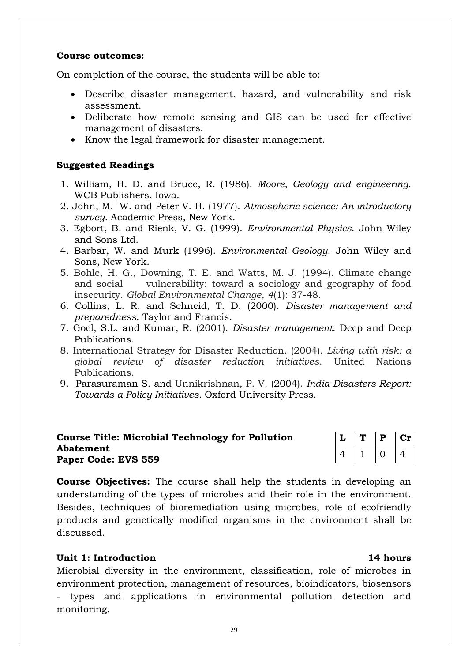#### **Course outcomes:**

On completion of the course, the students will be able to:

- Describe disaster management, hazard, and vulnerability and risk assessment.
- Deliberate how remote sensing and GIS can be used for effective management of disasters.
- Know the legal framework for disaster management.

#### **Suggested Readings**

- 1. William, H. D. and Bruce, R. (1986). *Moore, Geology and engineering*. WCB Publishers, Iowa.
- 2. John, M. W. and Peter V. H. (1977). *Atmospheric science: An introductory survey*. Academic Press, New York.
- 3. Egbort, B. and Rienk, V. G. (1999). *Environmental Physics*. John Wiley and Sons Ltd.
- 4. Barbar, W. and Murk (1996). *Environmental Geology*. John Wiley and Sons, New York.
- 5. Bohle, H. G., Downing, T. E. and Watts, M. J. (1994). Climate change and social vulnerability: toward a sociology and geography of food insecurity. *Global Environmental Change*, *4*(1): 37-48.
- 6. Collins, L. R. and Schneid, T. D. (2000). *Disaster management and preparedness*. Taylor and Francis.
- 7. Goel, S.L. and Kumar, R. (2001). *Disaster management*. Deep and Deep Publications.
- 8. International Strategy for Disaster Reduction. (2004). *Living with risk: a global review of disaster reduction initiatives*. United Nations Publications.
- 9. Parasuraman S. and Unnikrishnan, P. V. (2004). *India Disasters Report: Towards a Policy Initiatives.* Oxford University Press.

#### **Course Title: Microbial Technology for Pollution Abatement Paper Code: EVS 559**

| L | P   | $\mathbf{Cr}$ |
|---|-----|---------------|
| 4 | ( ) | 4             |

**Course Objectives:** The course shall help the students in developing an understanding of the types of microbes and their role in the environment. Besides, techniques of bioremediation using microbes, role of ecofriendly products and genetically modified organisms in the environment shall be discussed.

#### **Unit 1: Introduction 14 hours**

Microbial diversity in the environment, classification, role of microbes in environment protection, management of resources, bioindicators, biosensors - types and applications in environmental pollution detection and monitoring.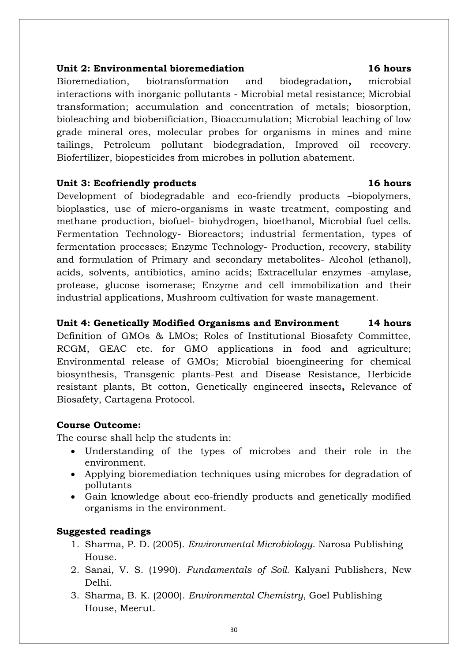#### **Unit 2: Environmental bioremediation 16 hours**

Bioremediation, biotransformation and biodegradation**,** microbial interactions with inorganic pollutants - Microbial metal resistance; Microbial transformation; accumulation and concentration of metals; biosorption, bioleaching and biobenificiation, Bioaccumulation; Microbial leaching of low grade mineral ores, molecular probes for organisms in mines and mine tailings, Petroleum pollutant biodegradation, Improved oil recovery. Biofertilizer, biopesticides from microbes in pollution abatement.

#### **Unit 3: Ecofriendly products 16 hours**

Development of biodegradable and eco-friendly products –biopolymers, bioplastics, use of micro-organisms in waste treatment, composting and methane production, biofuel- biohydrogen, bioethanol, Microbial fuel cells. Fermentation Technology- Bioreactors; industrial fermentation, types of fermentation processes; Enzyme Technology- Production, recovery, stability and formulation of Primary and secondary metabolites- Alcohol (ethanol), acids, solvents, antibiotics, amino acids; Extracellular enzymes -amylase, protease, glucose isomerase; Enzyme and cell immobilization and their industrial applications, Mushroom cultivation for waste management.

### **Unit 4: Genetically Modified Organisms and Environment 14 hours**

Definition of GMOs & LMOs; Roles of Institutional Biosafety Committee, RCGM, GEAC etc. for GMO applications in food and agriculture; Environmental release of GMOs; Microbial bioengineering for chemical biosynthesis, Transgenic plants-Pest and Disease Resistance, Herbicide resistant plants, Bt cotton, Genetically engineered insects**,** Relevance of Biosafety, Cartagena Protocol.

### **Course Outcome:**

The course shall help the students in:

- Understanding of the types of microbes and their role in the environment.
- Applying bioremediation techniques using microbes for degradation of pollutants
- Gain knowledge about eco-friendly products and genetically modified organisms in the environment.

### **Suggested readings**

- 1. Sharma, P. D. (2005). *Environmental Microbiology*. Narosa Publishing House.
- 2. Sanai, V. S. (1990). *Fundamentals of Soil.* Kalyani Publishers, New Delhi.
- 3. Sharma, B. K. (2000). *Environmental Chemistry*, Goel Publishing House, Meerut.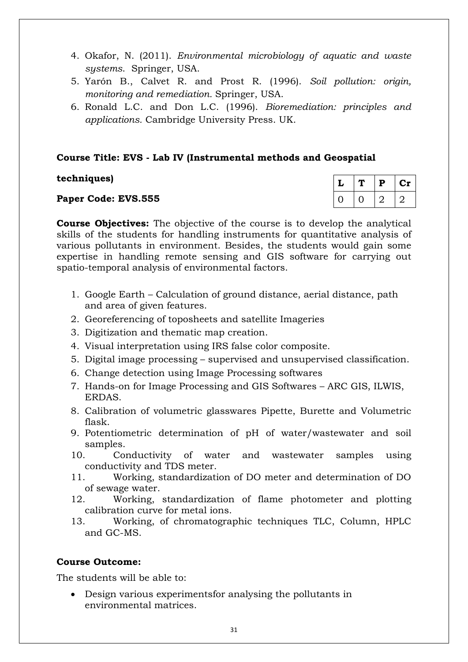- 4. [Okafor,](http://www.amazon.com/s/ref=ntt_athr_dp_sr_1?_encoding=UTF8&sort=relevancerank&search-alias=books&ie=UTF8&field-author=Nduka%20Okafor) N. (2011). *Environmental microbiology of aquatic and waste systems*. Springer, USA.
- 5. Yarón B., Calvet R. and Prost R. (1996). *[Soil pollution: origin,](http://books.google.co.in/books?id=Lr5bMTxom0IC&printsec=frontcover&dq=soil+pollution&hl=en&sa=X&ei=Wp28T7zpFM_IrQfDwNGyDQ&ved=0CEkQ6AEwAA)  [monitoring and remediation.](http://books.google.co.in/books?id=Lr5bMTxom0IC&printsec=frontcover&dq=soil+pollution&hl=en&sa=X&ei=Wp28T7zpFM_IrQfDwNGyDQ&ved=0CEkQ6AEwAA)* [Springer,](http://books.google.co.in/url?id=Ja4AxcKIvQUC&pg=PP1&q=http://www.springer.com&clientid=ca-print-springer-kluwer_academic&channel=BTB-ca-print-springer-kluwer_academic+BTB-ISBN:3540422285&linkid=1&usg=AFQjCNHjnASwg1IfXr99II9dVPxOS7Qr9Q&source=gbs_pub_info_r) USA.
- 6. Ronald L.C. and Don L.C. (1996). *Bioremediation: principles and applications.* Cambridge University Press. UK.

#### **Course Title: EVS - Lab IV (Instrumental methods and Geospatial**

**techniques)**

#### **Paper Code: EVS.555**

| L | P  | $\mathbf{Cr}$ |
|---|----|---------------|
|   | Ž. |               |

**Course Objectives:** The objective of the course is to develop the analytical skills of the students for handling instruments for quantitative analysis of various pollutants in environment. Besides, the students would gain some expertise in handling remote sensing and GIS software for carrying out spatio-temporal analysis of environmental factors.

- 1. Google Earth Calculation of ground distance, aerial distance, path and area of given features.
- 2. Georeferencing of toposheets and satellite Imageries
- 3. Digitization and thematic map creation.
- 4. Visual interpretation using IRS false color composite.
- 5. Digital image processing supervised and unsupervised classification.
- 6. Change detection using Image Processing softwares
- 7. Hands-on for Image Processing and GIS Softwares ARC GIS, ILWIS, ERDAS.
- 8. Calibration of volumetric glasswares Pipette, Burette and Volumetric flask.
- 9. Potentiometric determination of pH of water/wastewater and soil samples.
- 10. Conductivity of water and wastewater samples using conductivity and TDS meter.
- 11. Working, standardization of DO meter and determination of DO of sewage water.
- 12. Working, standardization of flame photometer and plotting calibration curve for metal ions.
- 13. Working, of chromatographic techniques TLC, Column, HPLC and GC-MS.

### **Course Outcome:**

The students will be able to:

 Design various experimentsfor analysing the pollutants in environmental matrices.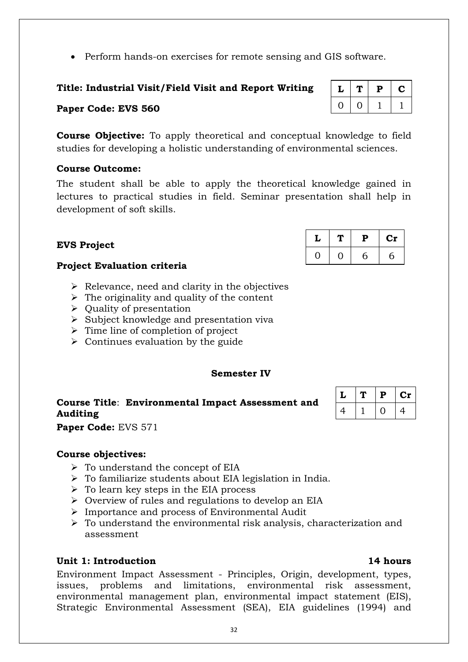Perform hands-on exercises for remote sensing and GIS software.

### **Title: Industrial Visit/Field Visit and Report Writing**

#### **Paper Code: EVS 560**

**Course Objective:** To apply theoretical and conceptual knowledge to field studies for developing a holistic understanding of environmental sciences.

#### **Course Outcome:**

The student shall be able to apply the theoretical knowledge gained in lectures to practical studies in field. Seminar presentation shall help in development of soft skills.

#### **EVS Project**

#### **Project Evaluation criteria**

- $\triangleright$  Relevance, need and clarity in the objectives
- $\triangleright$  The originality and quality of the content
- $\triangleright$  Quality of presentation
- $\triangleright$  Subject knowledge and presentation viva
- $\triangleright$  Time line of completion of project
- $\triangleright$  Continues evaluation by the guide

#### **Semester IV**

|               | <b>Course Title: Environmental Impact Assessment and</b> |
|---------------|----------------------------------------------------------|
| Auditing      |                                                          |
| $\sim$ $\sim$ |                                                          |

**Paper Code:** EVS 571

#### **Course objectives:**

- $\triangleright$  To understand the concept of EIA
- $\triangleright$  To familiarize students about EIA legislation in India.
- $\triangleright$  To learn key steps in the EIA process
- $\triangleright$  Overview of rules and regulations to develop an EIA
- $\triangleright$  Importance and process of Environmental Audit
- $\triangleright$  To understand the environmental risk analysis, characterization and assessment

#### **Unit 1: Introduction 14 hours**

Environment Impact Assessment - Principles, Origin, development, types, issues, problems and limitations, environmental risk assessment, environmental management plan, environmental impact statement (EIS), Strategic Environmental Assessment (SEA), EIA guidelines (1994) and

| ⊾ | Ί, | P | C |
|---|----|---|---|
|   |    |   |   |

|  | ъ | $\mathbf{Cr}$ |
|--|---|---------------|
|  | ხ | n             |

 $L |T | P | Cr$ 

4 1 0 4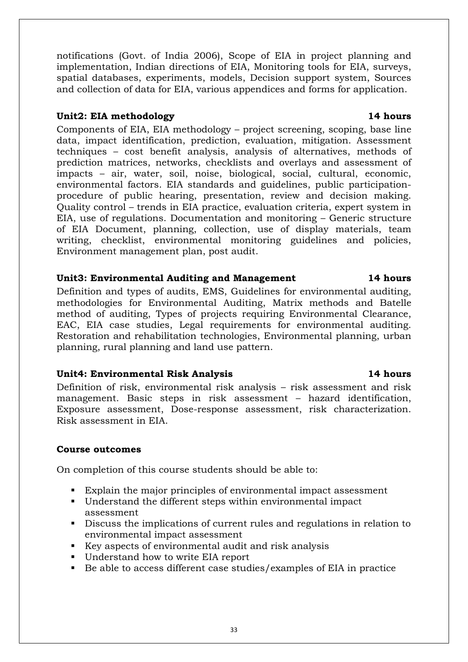notifications (Govt. of India 2006), Scope of EIA in project planning and implementation, Indian directions of EIA, Monitoring tools for EIA, surveys, spatial databases, experiments, models, Decision support system, Sources and collection of data for EIA, various appendices and forms for application.

### **Unit2: EIA methodology 14 hours**

Components of EIA, EIA methodology – project screening, scoping, base line data, impact identification, prediction, evaluation, mitigation. Assessment techniques – cost benefit analysis, analysis of alternatives, methods of prediction matrices, networks, checklists and overlays and assessment of impacts – air, water, soil, noise, biological, social, cultural, economic, environmental factors. EIA standards and guidelines, public participationprocedure of public hearing, presentation, review and decision making. Quality control – trends in EIA practice, evaluation criteria, expert system in EIA, use of regulations. Documentation and monitoring – Generic structure of EIA Document, planning, collection, use of display materials, team writing, checklist, environmental monitoring guidelines and policies, Environment management plan, post audit.

#### **Unit3: Environmental Auditing and Management 14 hours**

Definition and types of audits, EMS, Guidelines for environmental auditing, methodologies for Environmental Auditing, Matrix methods and Batelle method of auditing, Types of projects requiring Environmental Clearance, EAC, EIA case studies, Legal requirements for environmental auditing. Restoration and rehabilitation technologies, Environmental planning, urban planning, rural planning and land use pattern.

### **Unit4: Environmental Risk Analysis 14 hours**

Definition of risk, environmental risk analysis – risk assessment and risk management. Basic steps in risk assessment – hazard identification, Exposure assessment, Dose-response assessment, risk characterization. Risk assessment in EIA.

### **Course outcomes**

On completion of this course students should be able to:

- Explain the major principles of environmental impact assessment
- Understand the different steps within environmental impact assessment
- Discuss the implications of current rules and regulations in relation to environmental impact assessment
- Key aspects of environmental audit and risk analysis
- Understand how to write EIA report
- Be able to access different case studies/examples of EIA in practice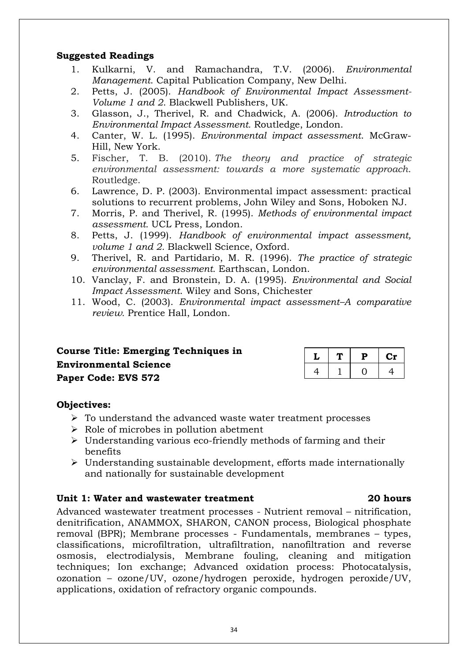#### **Suggested Readings**

- 1. Kulkarni, V. and Ramachandra, T.V. (2006). *Environmental Management*. Capital Publication Company, New Delhi.
- 2. Petts, J. (2005). *Handbook of Environmental Impact Assessment-Volume 1 and 2*. Blackwell Publishers, UK.
- 3. Glasson, J., Therivel, R. and Chadwick, A. (2006). *Introduction to Environmental Impact Assessment.* Routledge, London.
- 4. Canter, W. L. (1995). *Environmental impact assessment*. McGraw-Hill, New York.
- 5. Fischer, T. B. (2010). *The theory and practice of strategic environmental assessment: towards a more systematic approach*. Routledge.
- 6. Lawrence, D. P. (2003). Environmental impact assessment: practical solutions to recurrent problems, John Wiley and Sons, Hoboken NJ.
- 7. Morris, P. and Therivel, R. (1995). *Methods of environmental impact assessment.* UCL Press, London.
- 8. Petts, J. (1999). *Handbook of environmental impact assessment, volume 1 and 2.* Blackwell Science, Oxford.
- 9. Therivel, R. and Partidario, M. R. (1996). *The practice of strategic environmental assessment.* Earthscan, London.
- 10. Vanclay, F. and Bronstein, D. A. (1995). *Environmental and Social Impact Assessment*. Wiley and Sons, Chichester
- 11. Wood, C. (2003). *Environmental impact assessment–A comparative review.* Prentice Hall, London.

| <b>Course Title: Emerging Techniques in</b> |  | $L$ $T$ $P$ $C$ r        |  |
|---------------------------------------------|--|--------------------------|--|
| <b>Environmental Science</b>                |  | $4 \mid 1 \mid 0 \mid 4$ |  |
| Paper Code: EVS 572                         |  |                          |  |

#### **Objectives:**

- $\triangleright$  To understand the advanced waste water treatment processes
- $\triangleright$  Role of microbes in pollution abetment
- $\triangleright$  Understanding various eco-friendly methods of farming and their benefits
- $\triangleright$  Understanding sustainable development, efforts made internationally and nationally for sustainable development

#### **Unit 1: Water and wastewater treatment 20 hours**

Advanced wastewater treatment processes - Nutrient removal – nitrification, denitrification, ANAMMOX, SHARON, CANON process, Biological phosphate removal (BPR); Membrane processes - Fundamentals, membranes – types, classifications, microfiltration, ultrafiltration, nanofiltration and reverse osmosis, electrodialysis, Membrane fouling, cleaning and mitigation techniques; Ion exchange; Advanced oxidation process: Photocatalysis, ozonation – ozone/UV, ozone/hydrogen peroxide, hydrogen peroxide/UV, applications, oxidation of refractory organic compounds.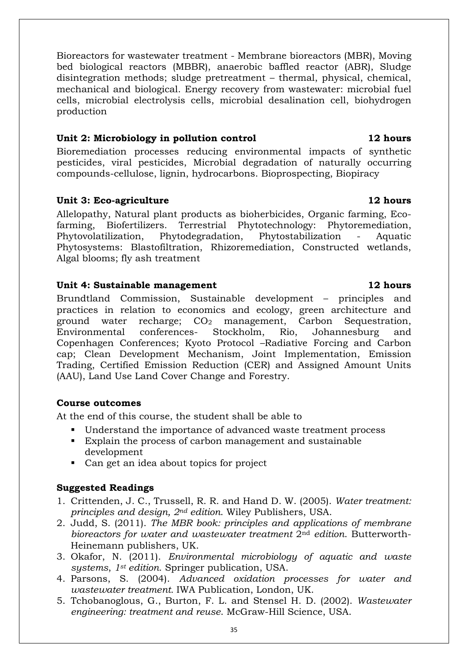Bioreactors for wastewater treatment - Membrane bioreactors (MBR), Moving bed biological reactors (MBBR), anaerobic baffled reactor (ABR), Sludge disintegration methods; sludge pretreatment – thermal, physical, chemical, mechanical and biological. Energy recovery from wastewater: microbial fuel cells, microbial electrolysis cells, microbial desalination cell, biohydrogen production

#### **Unit 2: Microbiology in pollution control 12 hours**

Bioremediation processes reducing environmental impacts of synthetic pesticides, viral pesticides, Microbial degradation of naturally occurring compounds-cellulose, lignin, hydrocarbons. Bioprospecting, Biopiracy

### **Unit 3: Eco-agriculture 12 hours**

Allelopathy, Natural plant products as bioherbicides, Organic farming, Ecofarming, Biofertilizers. Terrestrial Phytotechnology: Phytoremediation, Phytovolatilization, Phytodegradation, Phytostabilization - Aquatic Phytosystems: Blastofiltration, Rhizoremediation, Constructed wetlands, Algal blooms; fly ash treatment

### **Unit 4: Sustainable management 12 hours**

Brundtland Commission, Sustainable development – principles and practices in relation to economics and ecology, green architecture and ground water recharge;  $CO<sub>2</sub>$  management, Carbon Sequestration, Environmental conferences- Stockholm, Rio, Johannesburg and Copenhagen Conferences; Kyoto Protocol –Radiative Forcing and Carbon cap; Clean Development Mechanism, Joint Implementation, Emission Trading, Certified Emission Reduction (CER) and Assigned Amount Units (AAU), Land Use Land Cover Change and Forestry.

### **Course outcomes**

At the end of this course, the student shall be able to

- Understand the importance of advanced waste treatment process
- Explain the process of carbon management and sustainable development
- Can get an idea about topics for project

### **Suggested Readings**

- 1. Crittenden, J. C., Trussell, R. R. and Hand D. W. (2005). *Water treatment: principles and design, 2nd edition*. Wiley Publishers, USA.
- 2. [Judd,](http://www.amazon.com/Simon-Judd/e/B0034OGMWO/ref=sr_ntt_srch_lnk_2?qid=1337755032&sr=1-2) S. (2011). *The MBR book: principles and applications of membrane bioreactors for water and wastewater treatment* 2nd *edition*. Butterworth-Heinemann publishers, UK.
- 3. [Okafor,](http://www.amazon.com/s/ref=ntt_athr_dp_sr_1?_encoding=UTF8&field-author=Nduka%20Okafor&search-alias=books&sort=relevancerank) N. (2011). *Environmental microbiology of aquatic and waste systems*, *1st edition.* Springer publication, USA.
- 4. Parsons, S. (2004). *Advanced oxidation processes for water and wastewater treatment.* IWA Publication, London, UK.
- 5. Tchobanoglous, G., [Burton,](http://www.amazon.com/s/ref=ntt_athr_dp_sr_2?_encoding=UTF8&field-author=Franklin%20L.%20Burton&search-alias=books&sort=relevancerank) F. L. and Stensel H. D. (2002). *Wastewater engineering: treatment and reuse*. McGraw-Hill Science, USA.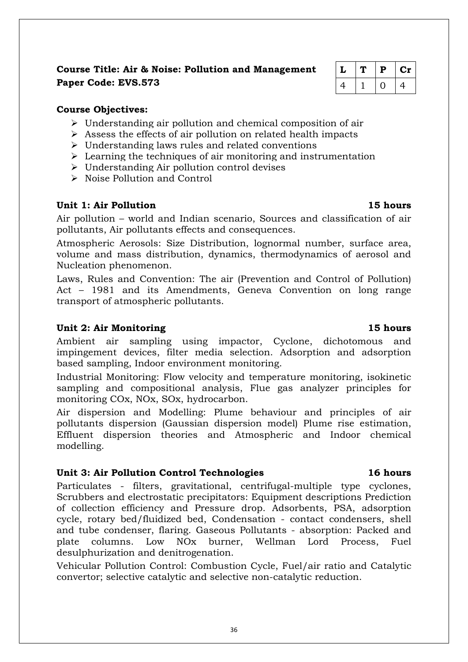### **Course Title: Air & Noise: Pollution and Management Paper Code: EVS.573**

#### **Course Objectives:**

- $\triangleright$  Understanding air pollution and chemical composition of air
- $\triangleright$  Assess the effects of air pollution on related health impacts
- $\triangleright$  Understanding laws rules and related conventions
- $\triangleright$  Learning the techniques of air monitoring and instrumentation
- Understanding Air pollution control devises
- Noise Pollution and Control

#### **Unit 1: Air Pollution 15 hours**

Air pollution – world and Indian scenario, Sources and classification of air pollutants, Air pollutants effects and consequences.

Atmospheric Aerosols: Size Distribution, lognormal number, surface area, volume and mass distribution, dynamics, thermodynamics of aerosol and Nucleation phenomenon.

Laws, Rules and Convention: The air (Prevention and Control of Pollution) Act – 1981 and its Amendments, Geneva Convention on long range transport of atmospheric pollutants.

#### **Unit 2: Air Monitoring 15 hours**

Ambient air sampling using impactor, Cyclone, dichotomous and impingement devices, filter media selection. Adsorption and adsorption based sampling, Indoor environment monitoring.

Industrial Monitoring: Flow velocity and temperature monitoring, isokinetic sampling and compositional analysis, Flue gas analyzer principles for monitoring COx, NOx, SOx, hydrocarbon.

Air dispersion and Modelling: Plume behaviour and principles of air pollutants dispersion (Gaussian dispersion model) Plume rise estimation, Effluent dispersion theories and Atmospheric and Indoor chemical modelling.

#### **Unit 3: Air Pollution Control Technologies 16 hours**

Particulates - filters, gravitational, centrifugal-multiple type cyclones, Scrubbers and electrostatic precipitators: Equipment descriptions Prediction of collection efficiency and Pressure drop. Adsorbents, PSA, adsorption cycle, rotary bed/fluidized bed, Condensation - contact condensers, shell and tube condenser, flaring. Gaseous Pollutants - absorption: Packed and plate columns. Low NOx burner, Wellman Lord Process, Fuel desulphurization and denitrogenation.

Vehicular Pollution Control: Combustion Cycle, Fuel/air ratio and Catalytic convertor; selective catalytic and selective non-catalytic reduction.

| L | P   | Cr |
|---|-----|----|
| 4 | ( ) | 4  |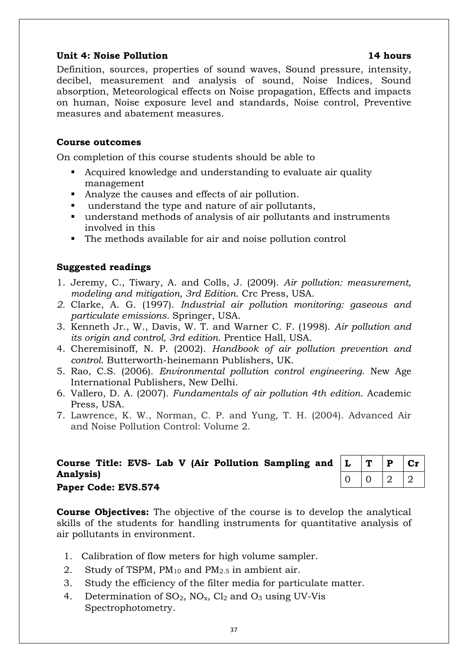#### **Unit 4: Noise Pollution 14 hours**

Definition, sources, properties of sound waves, Sound pressure, intensity, decibel, measurement and analysis of sound, Noise Indices, Sound absorption, Meteorological effects on Noise propagation, Effects and impacts on human, Noise exposure level and standards, Noise control, Preventive measures and abatement measures.

#### **Course outcomes**

On completion of this course students should be able to

- Acquired knowledge and understanding to evaluate air quality management
- Analyze the causes and effects of air pollution.
- understand the type and nature of air pollutants,
- understand methods of analysis of air pollutants and instruments involved in this
- The methods available for air and noise pollution control

#### **Suggested readings**

- 1. Jeremy, C., Tiwary, A. and Colls, J. (2009). *Air pollution: measurement, modeling and mitigation, 3rd Edition*. Crc Press, USA.
- *2.* Clarke, A. G. (1997). *Industrial air pollution monitoring: gaseous and particulate emissions.* Springer, USA.
- 3. Kenneth Jr., W., Davis, W. T. and Warner C. F. (1998). *Air pollution and its origin and control, 3rd edition*. Prentice Hall, USA.
- 4. Cheremisinoff, N. P. (2002). *Handbook of air pollution prevention and control*. Butterworth-heinemann Publishers, UK.
- 5. Rao, C.S. (2006). *Environmental pollution control engineering.* New Age International Publishers, New Delhi.
- 6. Vallero, D. A. (2007). *Fundamentals of air pollution 4th edition*. Academic Press, USA.
- 7. Lawrence, K. W., Norman, C. P. and Yung, T. H. (2004). Advanced Air and Noise Pollution Control: Volume 2.

#### **Course Title: EVS- Lab V (Air Pollution Sampling and Analysis) Paper Code: EVS.574**

| L | г | P | $\mathbf{Cr}$ |
|---|---|---|---------------|
| O | O | 2 | 2             |

**Course Objectives:** The objective of the course is to develop the analytical skills of the students for handling instruments for quantitative analysis of air pollutants in environment.

- 1. Calibration of flow meters for high volume sampler.
- 2. Study of TSPM,  $PM_{10}$  and  $PM_{2.5}$  in ambient air.
- 3. Study the efficiency of the filter media for particulate matter.
- 4. Determination of  $SO_2$ ,  $NO_x$ ,  $Cl_2$  and  $O_3$  using UV-Vis Spectrophotometry.